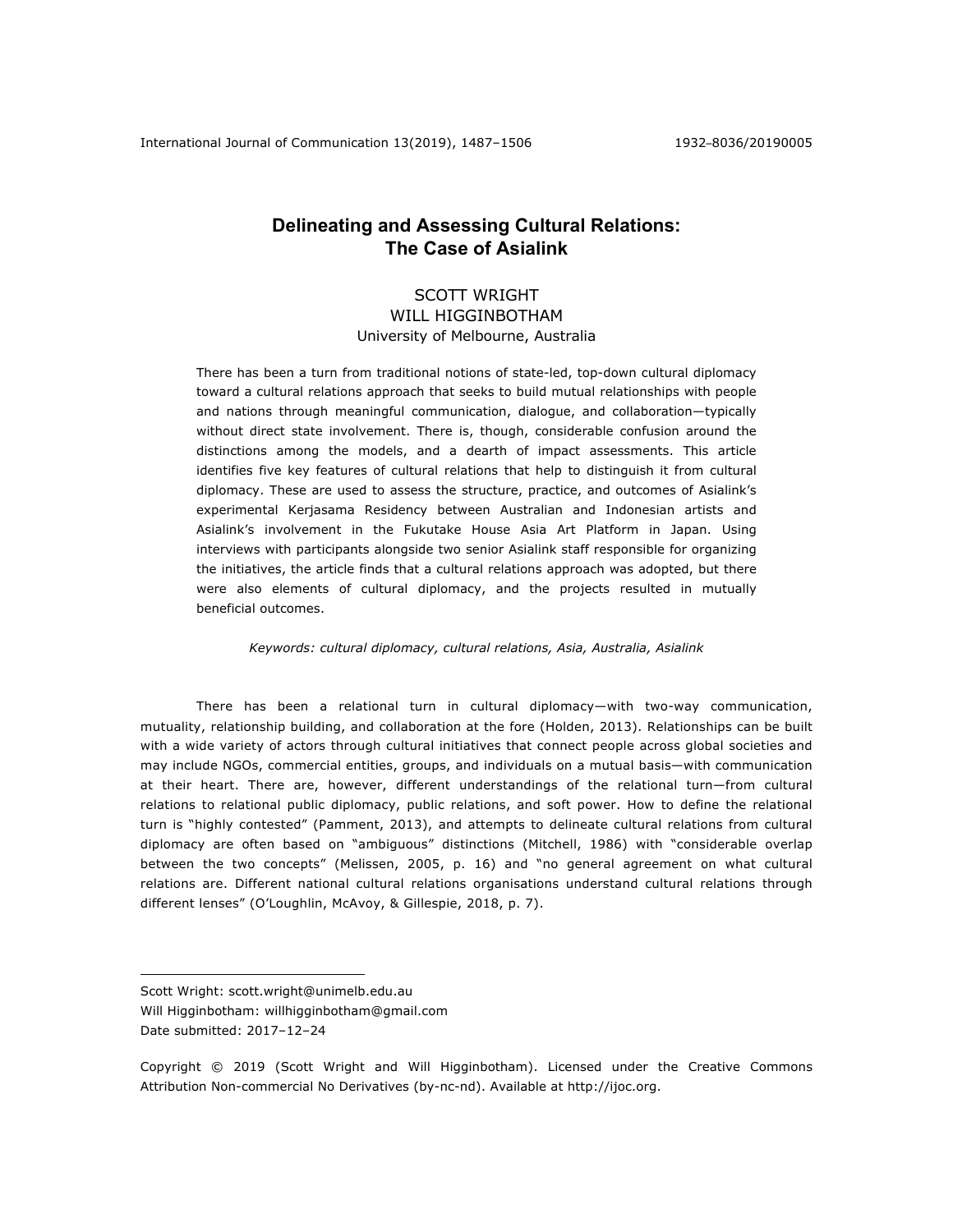# **Delineating and Assessing Cultural Relations: The Case of Asialink**

## SCOTT WRIGHT WILL HIGGINBOTHAM University of Melbourne, Australia

There has been a turn from traditional notions of state-led, top-down cultural diplomacy toward a cultural relations approach that seeks to build mutual relationships with people and nations through meaningful communication, dialogue, and collaboration—typically without direct state involvement. There is, though, considerable confusion around the distinctions among the models, and a dearth of impact assessments. This article identifies five key features of cultural relations that help to distinguish it from cultural diplomacy. These are used to assess the structure, practice, and outcomes of Asialink's experimental Kerjasama Residency between Australian and Indonesian artists and Asialink's involvement in the Fukutake House Asia Art Platform in Japan. Using interviews with participants alongside two senior Asialink staff responsible for organizing the initiatives, the article finds that a cultural relations approach was adopted, but there were also elements of cultural diplomacy, and the projects resulted in mutually beneficial outcomes.

*Keywords: cultural diplomacy, cultural relations, Asia, Australia, Asialink*

There has been a relational turn in cultural diplomacy—with two-way communication, mutuality, relationship building, and collaboration at the fore (Holden, 2013). Relationships can be built with a wide variety of actors through cultural initiatives that connect people across global societies and may include NGOs, commercial entities, groups, and individuals on a mutual basis—with communication at their heart. There are, however, different understandings of the relational turn—from cultural relations to relational public diplomacy, public relations, and soft power. How to define the relational turn is "highly contested" (Pamment, 2013), and attempts to delineate cultural relations from cultural diplomacy are often based on "ambiguous" distinctions (Mitchell, 1986) with "considerable overlap between the two concepts" (Melissen, 2005, p. 16) and "no general agreement on what cultural relations are. Different national cultural relations organisations understand cultural relations through different lenses" (O'Loughlin, McAvoy, & Gillespie, 2018, p. 7).

<u>.</u>

Scott Wright: scott.wright@unimelb.edu.au

Will Higginbotham: willhigginbotham@gmail.com Date submitted: 2017-12-24

Copyright © 2019 (Scott Wright and Will Higginbotham). Licensed under the Creative Commons Attribution Non-commercial No Derivatives (by-nc-nd). Available at http://ijoc.org.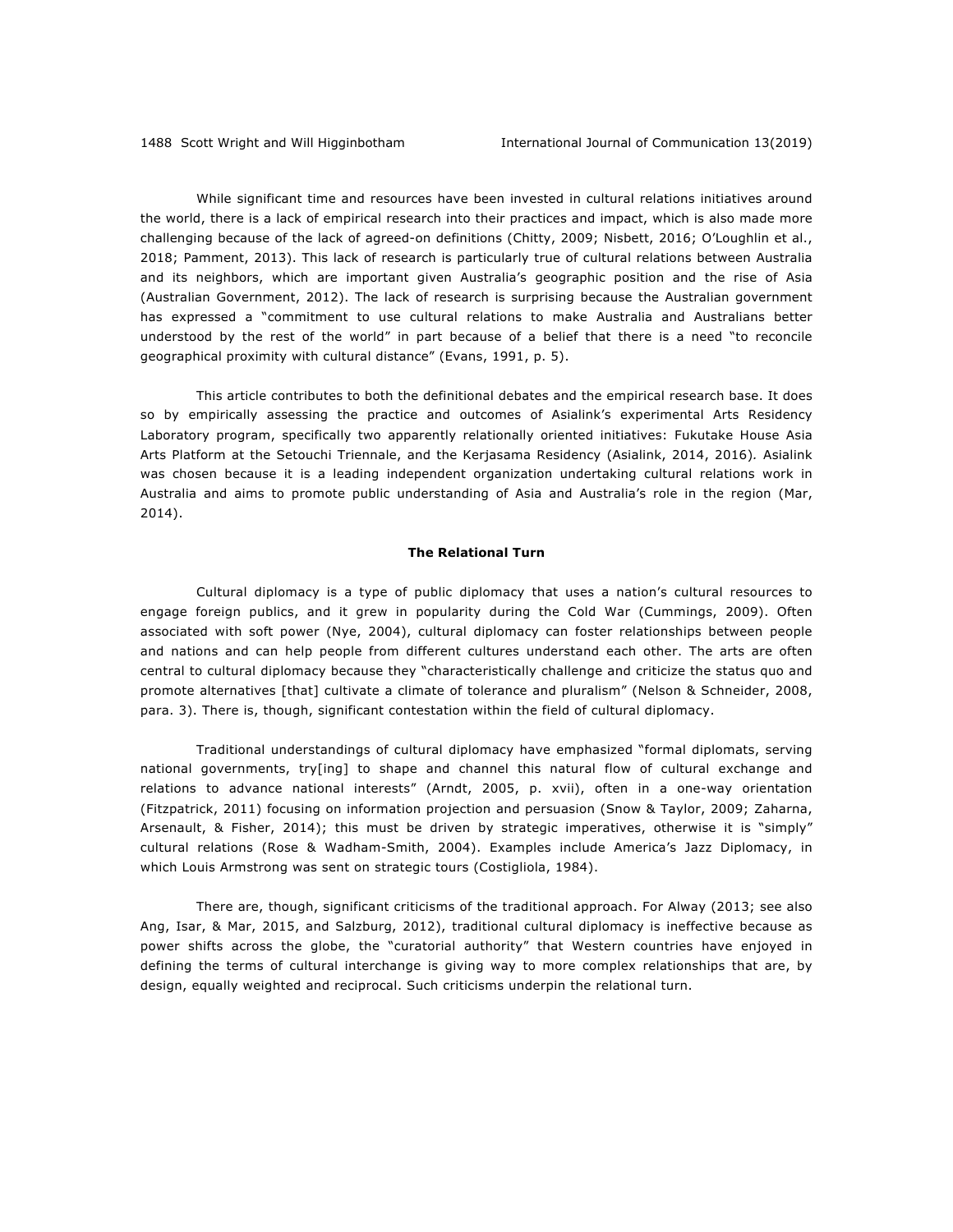While significant time and resources have been invested in cultural relations initiatives around the world, there is a lack of empirical research into their practices and impact, which is also made more challenging because of the lack of agreed-on definitions (Chitty, 2009; Nisbett, 2016; O'Loughlin et al., 2018; Pamment, 2013). This lack of research is particularly true of cultural relations between Australia and its neighbors, which are important given Australia's geographic position and the rise of Asia (Australian Government, 2012). The lack of research is surprising because the Australian government has expressed a "commitment to use cultural relations to make Australia and Australians better understood by the rest of the world" in part because of a belief that there is a need "to reconcile geographical proximity with cultural distance" (Evans, 1991, p. 5).

This article contributes to both the definitional debates and the empirical research base. It does so by empirically assessing the practice and outcomes of Asialink's experimental Arts Residency Laboratory program, specifically two apparently relationally oriented initiatives: Fukutake House Asia Arts Platform at the Setouchi Triennale, and the Kerjasama Residency (Asialink, 2014, 2016)*.* Asialink was chosen because it is a leading independent organization undertaking cultural relations work in Australia and aims to promote public understanding of Asia and Australia's role in the region (Mar, 2014).

#### **The Relational Turn**

Cultural diplomacy is a type of public diplomacy that uses a nation's cultural resources to engage foreign publics, and it grew in popularity during the Cold War (Cummings, 2009). Often associated with soft power (Nye, 2004), cultural diplomacy can foster relationships between people and nations and can help people from different cultures understand each other. The arts are often central to cultural diplomacy because they "characteristically challenge and criticize the status quo and promote alternatives [that] cultivate a climate of tolerance and pluralism" (Nelson & Schneider, 2008, para. 3). There is, though, significant contestation within the field of cultural diplomacy.

Traditional understandings of cultural diplomacy have emphasized "formal diplomats, serving national governments, try[ing] to shape and channel this natural flow of cultural exchange and relations to advance national interests" (Arndt, 2005, p. xvii), often in a one-way orientation (Fitzpatrick, 2011) focusing on information projection and persuasion (Snow & Taylor, 2009; Zaharna, Arsenault, & Fisher, 2014); this must be driven by strategic imperatives, otherwise it is "simply" cultural relations (Rose & Wadham-Smith, 2004). Examples include America's Jazz Diplomacy, in which Louis Armstrong was sent on strategic tours (Costigliola, 1984).

There are, though, significant criticisms of the traditional approach. For Alway (2013; see also Ang, Isar, & Mar, 2015, and Salzburg, 2012), traditional cultural diplomacy is ineffective because as power shifts across the globe, the "curatorial authority" that Western countries have enjoyed in defining the terms of cultural interchange is giving way to more complex relationships that are, by design, equally weighted and reciprocal. Such criticisms underpin the relational turn.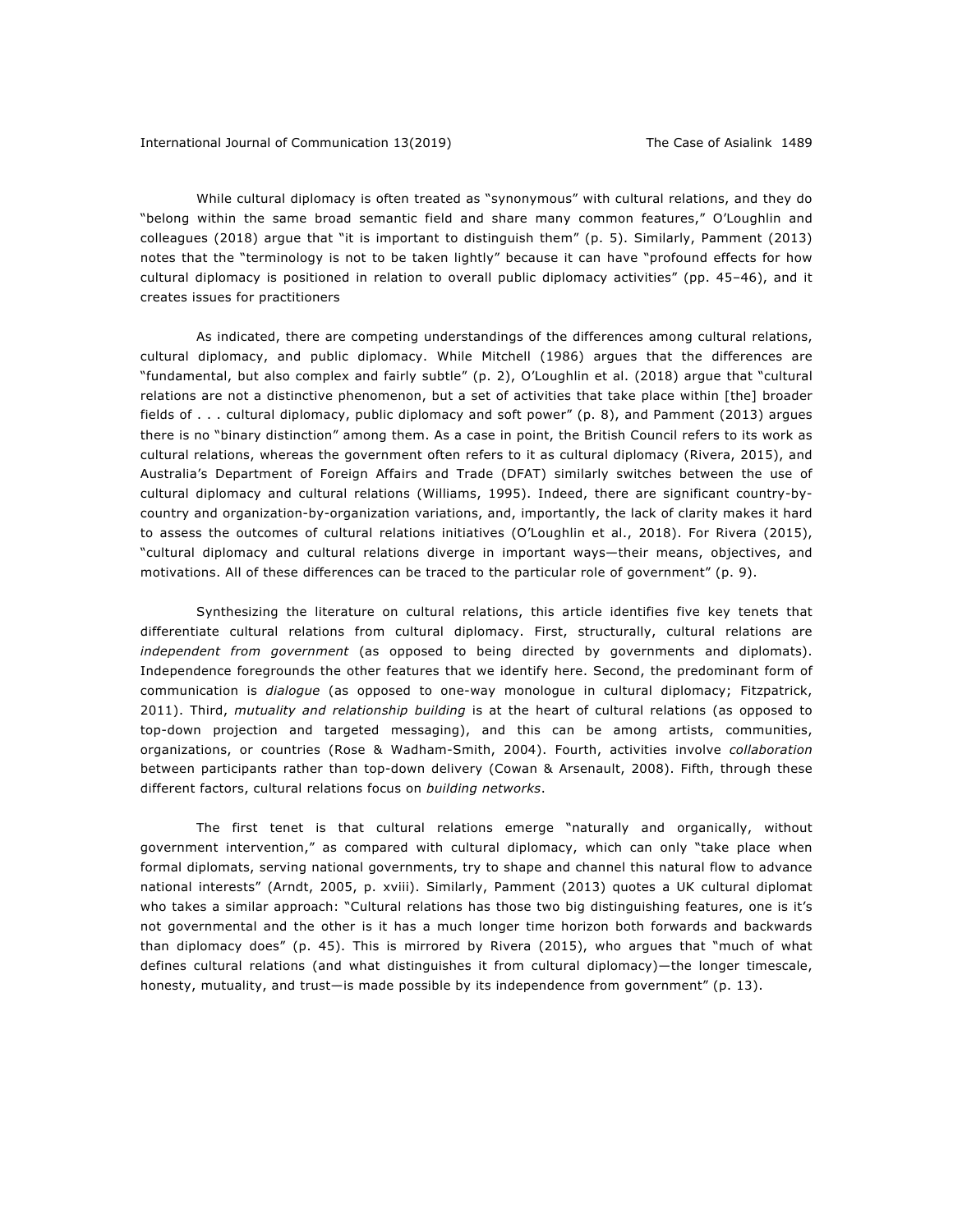While cultural diplomacy is often treated as "synonymous" with cultural relations, and they do "belong within the same broad semantic field and share many common features," O'Loughlin and colleagues (2018) argue that "it is important to distinguish them" (p. 5). Similarly, Pamment (2013) notes that the "terminology is not to be taken lightly" because it can have "profound effects for how cultural diplomacy is positioned in relation to overall public diplomacy activities" (pp. 45-46), and it creates issues for practitioners

As indicated, there are competing understandings of the differences among cultural relations, cultural diplomacy, and public diplomacy. While Mitchell (1986) argues that the differences are "fundamental, but also complex and fairly subtle" (p. 2), O'Loughlin et al. (2018) argue that "cultural relations are not a distinctive phenomenon, but a set of activities that take place within [the] broader fields of . . . cultural diplomacy, public diplomacy and soft power" (p. 8), and Pamment (2013) argues there is no "binary distinction" among them. As a case in point, the British Council refers to its work as cultural relations, whereas the government often refers to it as cultural diplomacy (Rivera, 2015), and Australia's Department of Foreign Affairs and Trade (DFAT) similarly switches between the use of cultural diplomacy and cultural relations (Williams, 1995). Indeed, there are significant country-bycountry and organization-by-organization variations, and, importantly, the lack of clarity makes it hard to assess the outcomes of cultural relations initiatives (O'Loughlin et al., 2018). For Rivera (2015), "cultural diplomacy and cultural relations diverge in important ways—their means, objectives, and motivations. All of these differences can be traced to the particular role of government" (p. 9).

Synthesizing the literature on cultural relations, this article identifies five key tenets that differentiate cultural relations from cultural diplomacy. First, structurally, cultural relations are *independent from government* (as opposed to being directed by governments and diplomats). Independence foregrounds the other features that we identify here. Second, the predominant form of communication is *dialogue* (as opposed to one-way monologue in cultural diplomacy; Fitzpatrick, 2011). Third, *mutuality and relationship building* is at the heart of cultural relations (as opposed to top-down projection and targeted messaging), and this can be among artists, communities, organizations, or countries (Rose & Wadham-Smith, 2004). Fourth, activities involve *collaboration* between participants rather than top-down delivery (Cowan & Arsenault, 2008). Fifth, through these different factors, cultural relations focus on *building networks*.

The first tenet is that cultural relations emerge "naturally and organically, without government intervention," as compared with cultural diplomacy, which can only "take place when formal diplomats, serving national governments, try to shape and channel this natural flow to advance national interests" (Arndt, 2005, p. xviii). Similarly, Pamment (2013) quotes a UK cultural diplomat who takes a similar approach: "Cultural relations has those two big distinguishing features, one is it's not governmental and the other is it has a much longer time horizon both forwards and backwards than diplomacy does" (p. 45). This is mirrored by Rivera (2015), who argues that "much of what defines cultural relations (and what distinguishes it from cultural diplomacy)—the longer timescale, honesty, mutuality, and trust—is made possible by its independence from government" (p. 13).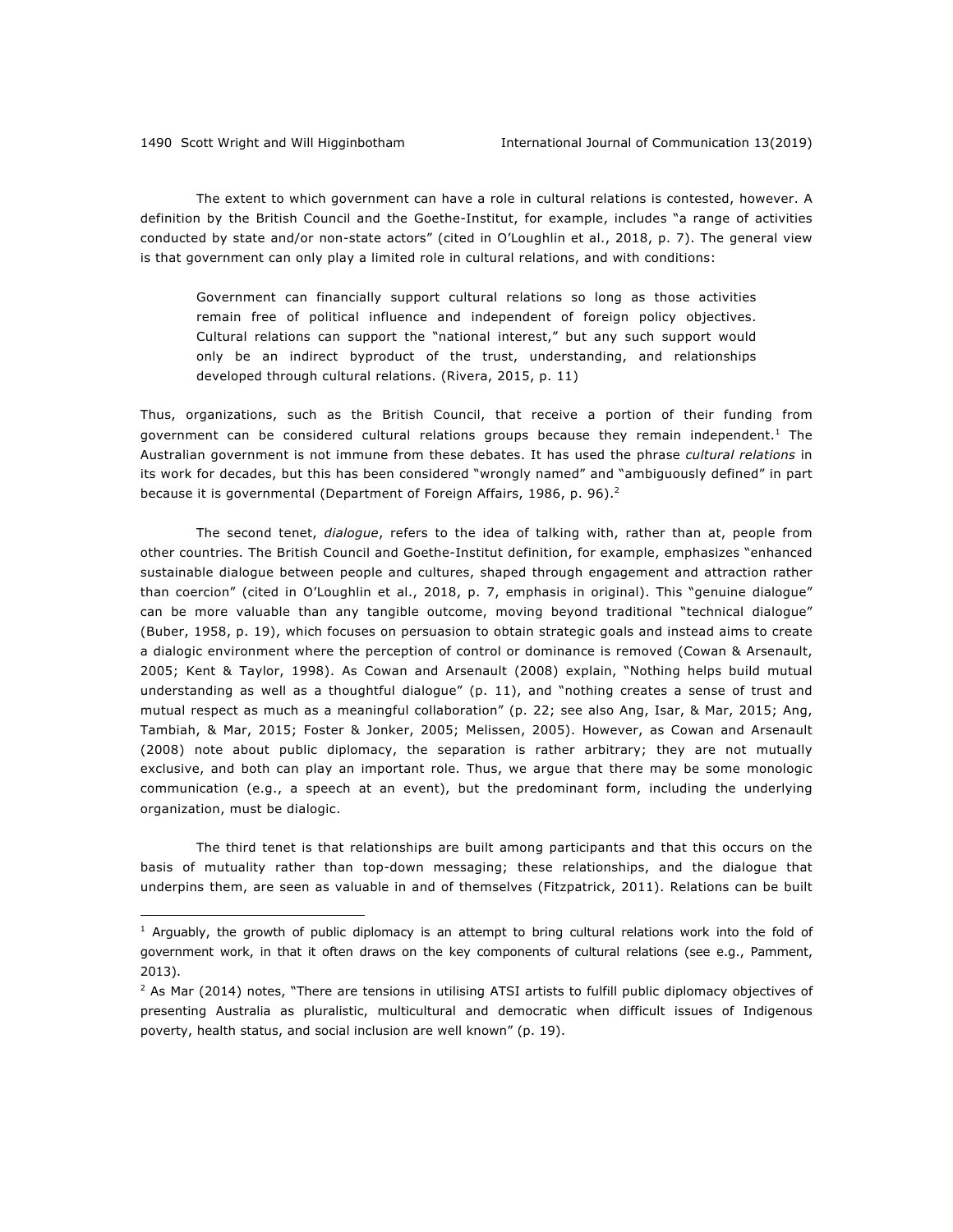<u>.</u>

The extent to which government can have a role in cultural relations is contested, however. A definition by the British Council and the Goethe-Institut, for example, includes "a range of activities conducted by state and/or non-state actors" (cited in O'Loughlin et al., 2018, p. 7). The general view is that government can only play a limited role in cultural relations, and with conditions:

Government can financially support cultural relations so long as those activities remain free of political influence and independent of foreign policy objectives. Cultural relations can support the "national interest," but any such support would only be an indirect byproduct of the trust, understanding, and relationships developed through cultural relations. (Rivera, 2015, p. 11)

Thus, organizations, such as the British Council, that receive a portion of their funding from government can be considered cultural relations groups because they remain independent.<sup>1</sup> The Australian government is not immune from these debates. It has used the phrase *cultural relations* in its work for decades, but this has been considered "wrongly named" and "ambiguously defined" in part because it is governmental (Department of Foreign Affairs, 1986, p. 96).<sup>2</sup>

The second tenet, *dialogue*, refers to the idea of talking with, rather than at, people from other countries. The British Council and Goethe-Institut definition, for example, emphasizes "enhanced sustainable dialogue between people and cultures, shaped through engagement and attraction rather than coercion" (cited in O'Loughlin et al., 2018, p. 7, emphasis in original). This "genuine dialogue" can be more valuable than any tangible outcome, moving beyond traditional "technical dialogue" (Buber, 1958, p. 19), which focuses on persuasion to obtain strategic goals and instead aims to create a dialogic environment where the perception of control or dominance is removed (Cowan & Arsenault, 2005; Kent & Taylor, 1998). As Cowan and Arsenault (2008) explain, "Nothing helps build mutual understanding as well as a thoughtful dialogue" (p. 11), and "nothing creates a sense of trust and mutual respect as much as a meaningful collaboration" (p. 22; see also Ang, Isar, & Mar, 2015; Ang, Tambiah, & Mar, 2015; Foster & Jonker, 2005; Melissen, 2005). However, as Cowan and Arsenault (2008) note about public diplomacy, the separation is rather arbitrary; they are not mutually exclusive, and both can play an important role. Thus, we argue that there may be some monologic communication (e.g., a speech at an event), but the predominant form, including the underlying organization, must be dialogic.

The third tenet is that relationships are built among participants and that this occurs on the basis of mutuality rather than top-down messaging; these relationships, and the dialogue that underpins them, are seen as valuable in and of themselves (Fitzpatrick, 2011). Relations can be built

 $1$  Arguably, the growth of public diplomacy is an attempt to bring cultural relations work into the fold of government work, in that it often draws on the key components of cultural relations (see e.g., Pamment, 2013).

 $2$  As Mar (2014) notes, "There are tensions in utilising ATSI artists to fulfill public diplomacy objectives of presenting Australia as pluralistic, multicultural and democratic when difficult issues of Indigenous poverty, health status, and social inclusion are well known" (p. 19).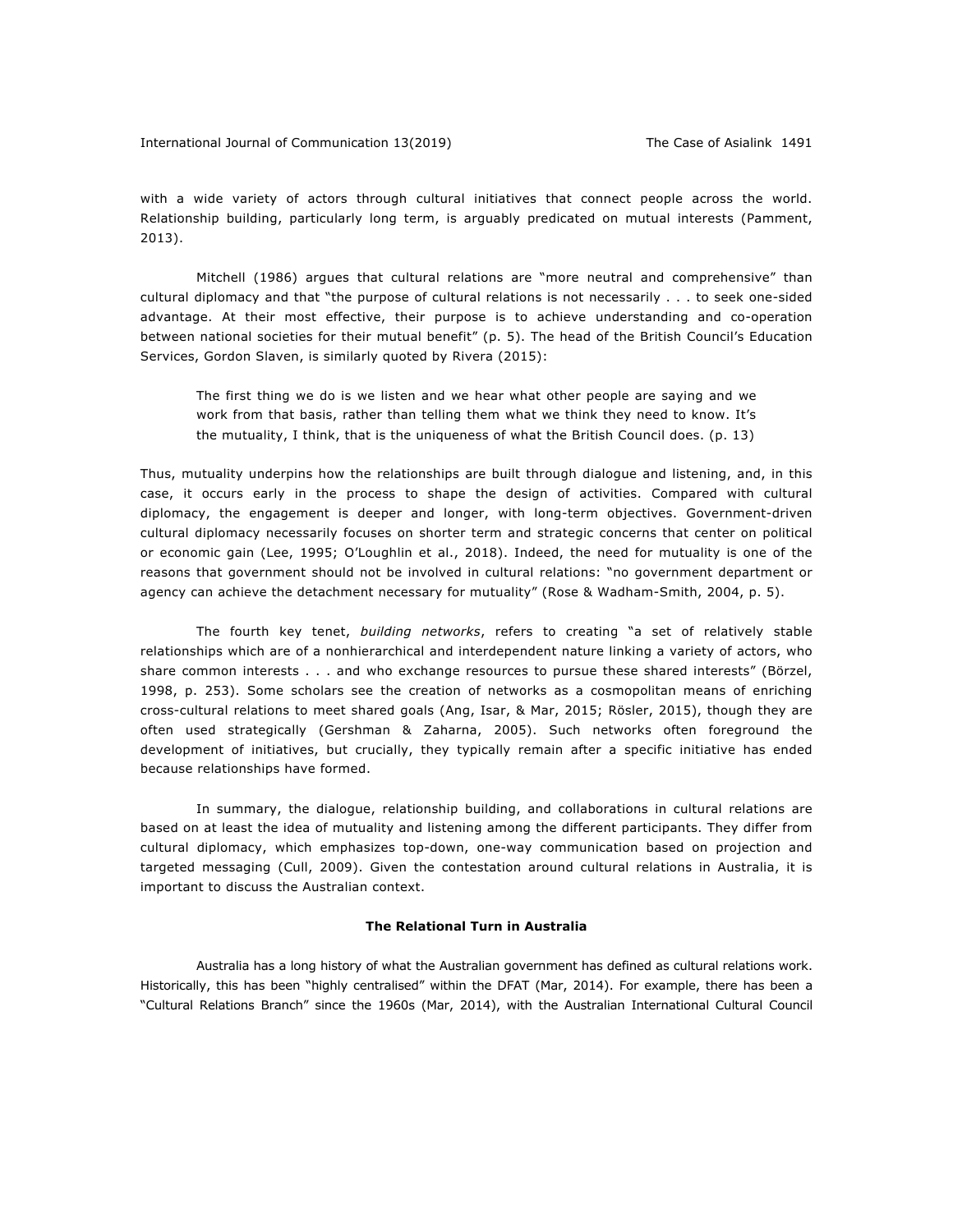with a wide variety of actors through cultural initiatives that connect people across the world. Relationship building, particularly long term, is arguably predicated on mutual interests (Pamment, 2013).

Mitchell (1986) argues that cultural relations are "more neutral and comprehensive" than cultural diplomacy and that "the purpose of cultural relations is not necessarily . . . to seek one-sided advantage. At their most effective, their purpose is to achieve understanding and co-operation between national societies for their mutual benefit" (p. 5). The head of the British Council's Education Services, Gordon Slaven, is similarly quoted by Rivera (2015):

The first thing we do is we listen and we hear what other people are saying and we work from that basis, rather than telling them what we think they need to know. It's the mutuality, I think, that is the uniqueness of what the British Council does. (p. 13)

Thus, mutuality underpins how the relationships are built through dialogue and listening, and, in this case, it occurs early in the process to shape the design of activities. Compared with cultural diplomacy, the engagement is deeper and longer, with long-term objectives. Government-driven cultural diplomacy necessarily focuses on shorter term and strategic concerns that center on political or economic gain (Lee, 1995; O'Loughlin et al., 2018). Indeed, the need for mutuality is one of the reasons that government should not be involved in cultural relations: "no government department or agency can achieve the detachment necessary for mutuality" (Rose & Wadham-Smith, 2004, p. 5).

The fourth key tenet, *building networks*, refers to creating "a set of relatively stable relationships which are of a nonhierarchical and interdependent nature linking a variety of actors, who share common interests . . . and who exchange resources to pursue these shared interests" (Börzel, 1998, p. 253). Some scholars see the creation of networks as a cosmopolitan means of enriching cross-cultural relations to meet shared goals (Ang, Isar, & Mar, 2015; Rösler, 2015), though they are often used strategically (Gershman & Zaharna, 2005). Such networks often foreground the development of initiatives, but crucially, they typically remain after a specific initiative has ended because relationships have formed.

In summary, the dialogue, relationship building, and collaborations in cultural relations are based on at least the idea of mutuality and listening among the different participants. They differ from cultural diplomacy, which emphasizes top-down, one-way communication based on projection and targeted messaging (Cull, 2009). Given the contestation around cultural relations in Australia, it is important to discuss the Australian context.

#### **The Relational Turn in Australia**

Australia has a long history of what the Australian government has defined as cultural relations work. Historically, this has been "highly centralised" within the DFAT (Mar, 2014). For example, there has been a "Cultural Relations Branch" since the 1960s (Mar, 2014), with the Australian International Cultural Council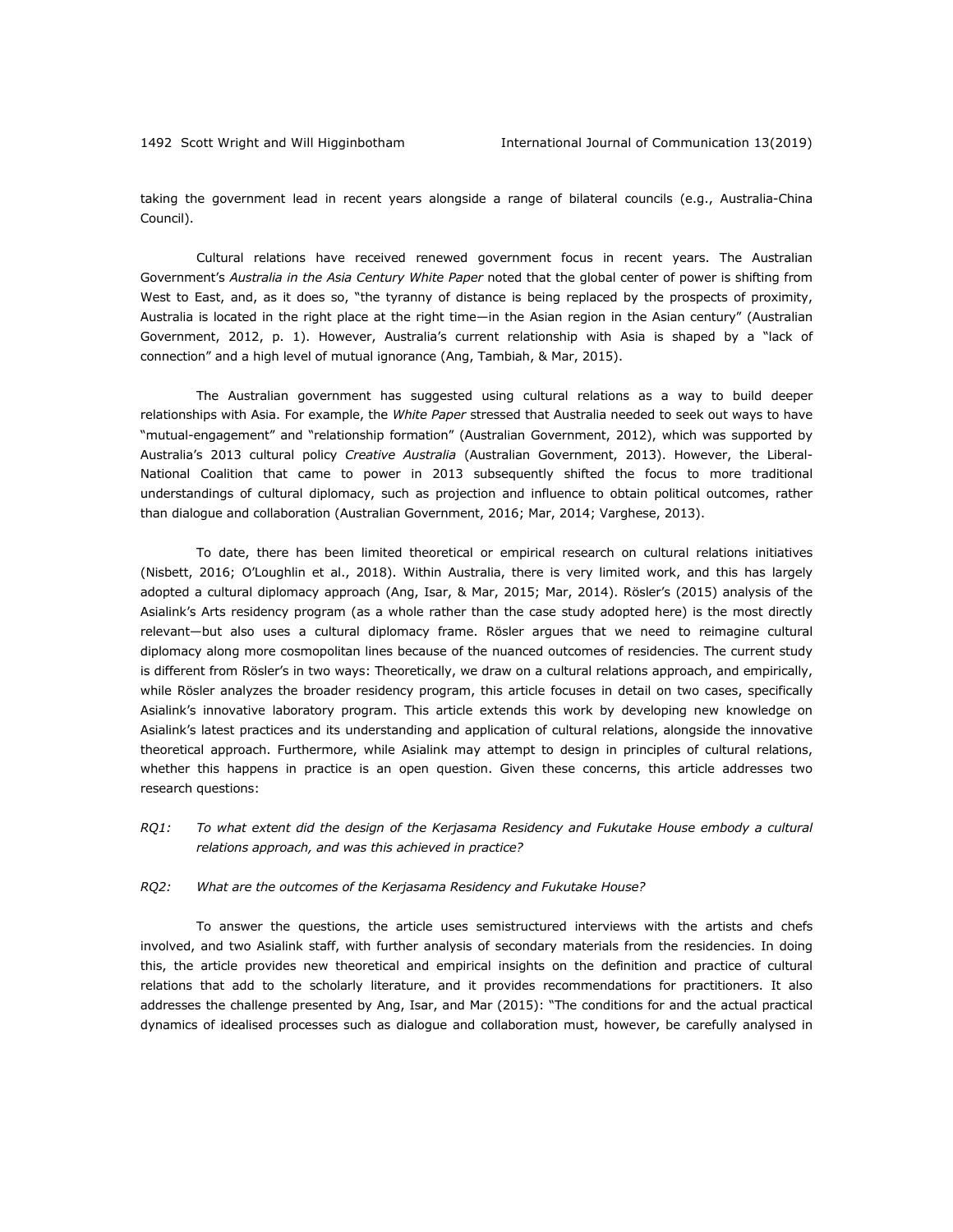taking the government lead in recent years alongside a range of bilateral councils (e.g., Australia-China Council).

Cultural relations have received renewed government focus in recent years. The Australian Government's *Australia in the Asia Century White Paper* noted that the global center of power is shifting from West to East, and, as it does so, "the tyranny of distance is being replaced by the prospects of proximity, Australia is located in the right place at the right time—in the Asian region in the Asian century" (Australian Government, 2012, p. 1). However, Australia's current relationship with Asia is shaped by a "lack of connection" and a high level of mutual ignorance (Ang, Tambiah, & Mar, 2015).

The Australian government has suggested using cultural relations as a way to build deeper relationships with Asia. For example, the *White Paper* stressed that Australia needed to seek out ways to have "mutual-engagement" and "relationship formation" (Australian Government, 2012), which was supported by Australia's 2013 cultural policy *Creative Australia* (Australian Government, 2013). However, the Liberal-National Coalition that came to power in 2013 subsequently shifted the focus to more traditional understandings of cultural diplomacy, such as projection and influence to obtain political outcomes, rather than dialogue and collaboration (Australian Government, 2016; Mar, 2014; Varghese, 2013).

To date, there has been limited theoretical or empirical research on cultural relations initiatives (Nisbett, 2016; O'Loughlin et al., 2018). Within Australia, there is very limited work, and this has largely adopted a cultural diplomacy approach (Ang, Isar, & Mar, 2015; Mar, 2014). Rösler's (2015) analysis of the Asialink's Arts residency program (as a whole rather than the case study adopted here) is the most directly relevant—but also uses a cultural diplomacy frame. Rösler argues that we need to reimagine cultural diplomacy along more cosmopolitan lines because of the nuanced outcomes of residencies. The current study is different from Rösler's in two ways: Theoretically, we draw on a cultural relations approach, and empirically, while Rösler analyzes the broader residency program, this article focuses in detail on two cases, specifically Asialink's innovative laboratory program. This article extends this work by developing new knowledge on Asialink's latest practices and its understanding and application of cultural relations, alongside the innovative theoretical approach. Furthermore, while Asialink may attempt to design in principles of cultural relations, whether this happens in practice is an open question. Given these concerns, this article addresses two research questions:

*RQ1: To what extent did the design of the Kerjasama Residency and Fukutake House embody a cultural relations approach, and was this achieved in practice?*

#### *RQ2: What are the outcomes of the Kerjasama Residency and Fukutake House?*

To answer the questions, the article uses semistructured interviews with the artists and chefs involved, and two Asialink staff, with further analysis of secondary materials from the residencies. In doing this, the article provides new theoretical and empirical insights on the definition and practice of cultural relations that add to the scholarly literature, and it provides recommendations for practitioners. It also addresses the challenge presented by Ang, Isar, and Mar (2015): "The conditions for and the actual practical dynamics of idealised processes such as dialogue and collaboration must, however, be carefully analysed in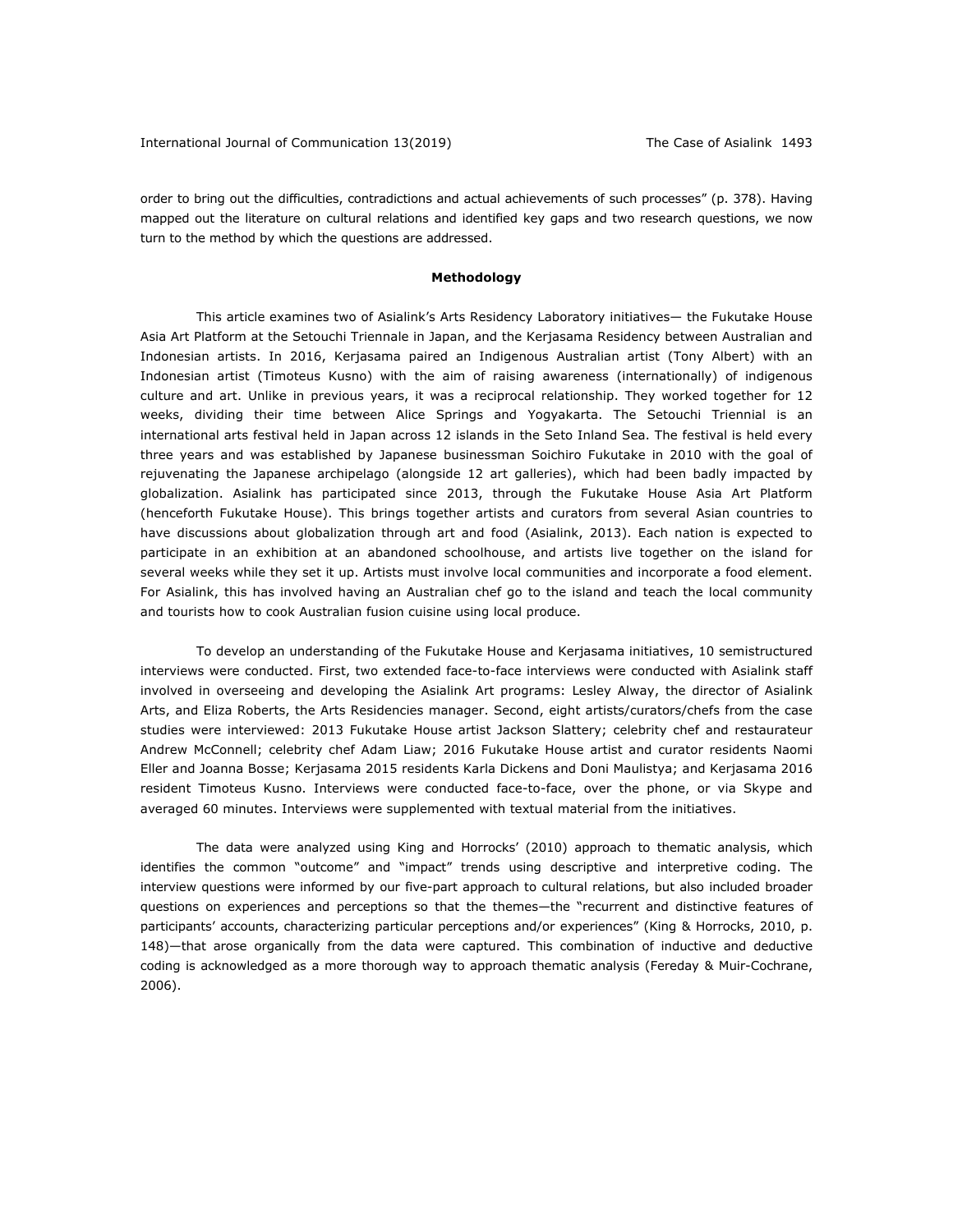order to bring out the difficulties, contradictions and actual achievements of such processes" (p. 378). Having mapped out the literature on cultural relations and identified key gaps and two research questions, we now turn to the method by which the questions are addressed.

#### **Methodology**

This article examines two of Asialink's Arts Residency Laboratory initiatives— the Fukutake House Asia Art Platform at the Setouchi Triennale in Japan, and the Kerjasama Residency between Australian and Indonesian artists. In 2016, Kerjasama paired an Indigenous Australian artist (Tony Albert) with an Indonesian artist (Timoteus Kusno) with the aim of raising awareness (internationally) of indigenous culture and art. Unlike in previous years, it was a reciprocal relationship. They worked together for 12 weeks, dividing their time between Alice Springs and Yogyakarta. The Setouchi Triennial is an international arts festival held in Japan across 12 islands in the Seto Inland Sea. The festival is held every three years and was established by Japanese businessman Soichiro Fukutake in 2010 with the goal of rejuvenating the Japanese archipelago (alongside 12 art galleries), which had been badly impacted by globalization. Asialink has participated since 2013, through the Fukutake House Asia Art Platform (henceforth Fukutake House). This brings together artists and curators from several Asian countries to have discussions about globalization through art and food (Asialink, 2013). Each nation is expected to participate in an exhibition at an abandoned schoolhouse, and artists live together on the island for several weeks while they set it up. Artists must involve local communities and incorporate a food element. For Asialink, this has involved having an Australian chef go to the island and teach the local community and tourists how to cook Australian fusion cuisine using local produce.

To develop an understanding of the Fukutake House and Kerjasama initiatives, 10 semistructured interviews were conducted. First, two extended face-to-face interviews were conducted with Asialink staff involved in overseeing and developing the Asialink Art programs: Lesley Alway, the director of Asialink Arts, and Eliza Roberts, the Arts Residencies manager. Second, eight artists/curators/chefs from the case studies were interviewed: 2013 Fukutake House artist Jackson Slattery; celebrity chef and restaurateur Andrew McConnell; celebrity chef Adam Liaw; 2016 Fukutake House artist and curator residents Naomi Eller and Joanna Bosse; Kerjasama 2015 residents Karla Dickens and Doni Maulistya; and Kerjasama 2016 resident Timoteus Kusno. Interviews were conducted face-to-face, over the phone, or via Skype and averaged 60 minutes. Interviews were supplemented with textual material from the initiatives.

The data were analyzed using King and Horrocks' (2010) approach to thematic analysis, which identifies the common "outcome" and "impact" trends using descriptive and interpretive coding. The interview questions were informed by our five-part approach to cultural relations, but also included broader questions on experiences and perceptions so that the themes—the "recurrent and distinctive features of participants' accounts, characterizing particular perceptions and/or experiences" (King & Horrocks, 2010, p. 148)—that arose organically from the data were captured. This combination of inductive and deductive coding is acknowledged as a more thorough way to approach thematic analysis (Fereday & Muir-Cochrane, 2006).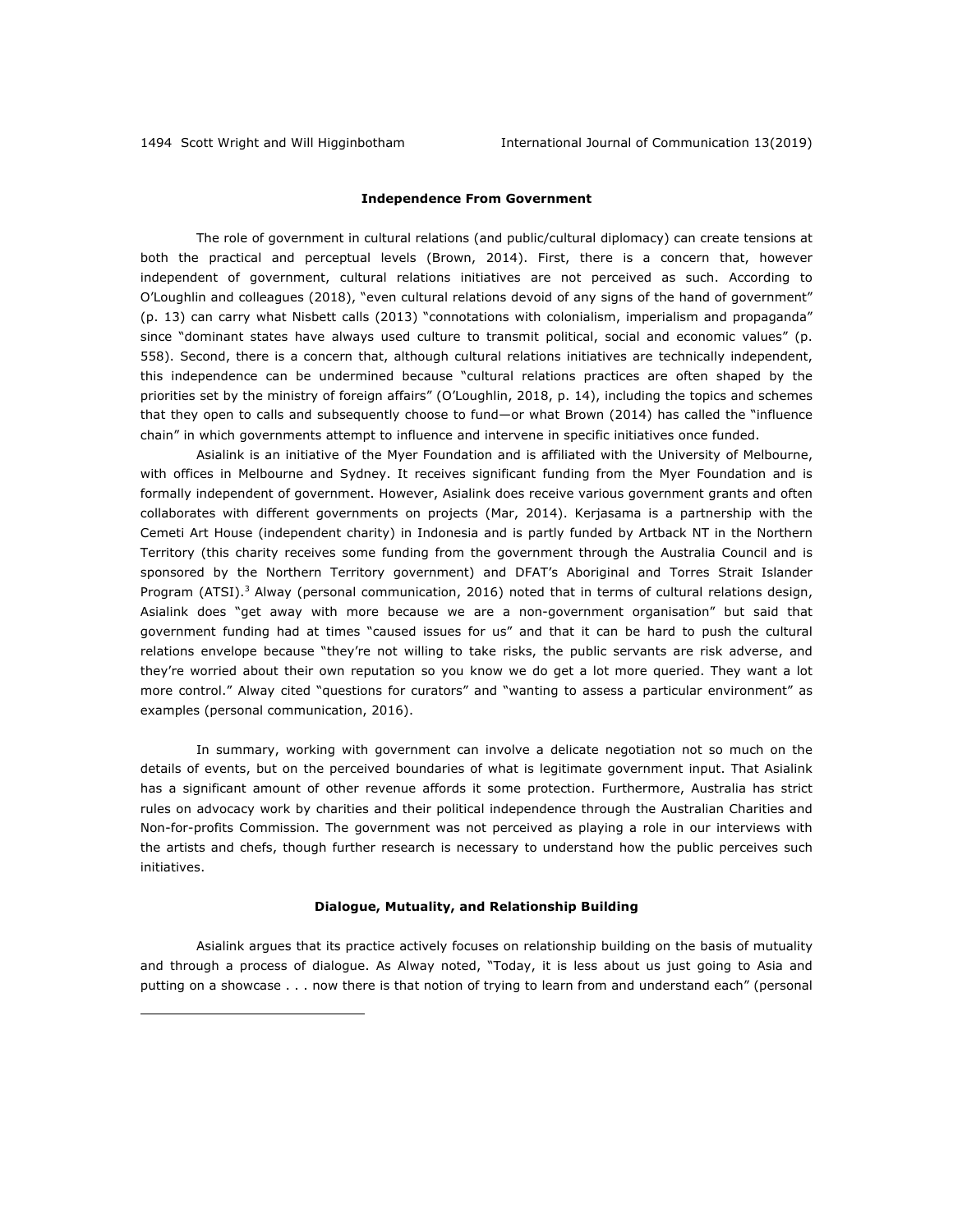1

#### **Independence From Government**

The role of government in cultural relations (and public/cultural diplomacy) can create tensions at both the practical and perceptual levels (Brown, 2014). First, there is a concern that, however independent of government, cultural relations initiatives are not perceived as such. According to O'Loughlin and colleagues (2018), "even cultural relations devoid of any signs of the hand of government" (p. 13) can carry what Nisbett calls (2013) "connotations with colonialism, imperialism and propaganda" since "dominant states have always used culture to transmit political, social and economic values" (p. 558). Second, there is a concern that, although cultural relations initiatives are technically independent, this independence can be undermined because "cultural relations practices are often shaped by the priorities set by the ministry of foreign affairs" (O'Loughlin, 2018, p. 14), including the topics and schemes that they open to calls and subsequently choose to fund—or what Brown (2014) has called the "influence chain" in which governments attempt to influence and intervene in specific initiatives once funded.

Asialink is an initiative of the Myer Foundation and is affiliated with the University of Melbourne, with offices in Melbourne and Sydney. It receives significant funding from the Myer Foundation and is formally independent of government. However, Asialink does receive various government grants and often collaborates with different governments on projects (Mar, 2014). Kerjasama is a partnership with the Cemeti Art House (independent charity) in Indonesia and is partly funded by Artback NT in the Northern Territory (this charity receives some funding from the government through the Australia Council and is sponsored by the Northern Territory government) and DFAT's Aboriginal and Torres Strait Islander Program (ATSI).<sup>3</sup> Alway (personal communication, 2016) noted that in terms of cultural relations design, Asialink does "get away with more because we are a non-government organisation" but said that government funding had at times "caused issues for us" and that it can be hard to push the cultural relations envelope because "they're not willing to take risks, the public servants are risk adverse, and they're worried about their own reputation so you know we do get a lot more queried. They want a lot more control." Alway cited "questions for curators" and "wanting to assess a particular environment" as examples (personal communication, 2016).

In summary, working with government can involve a delicate negotiation not so much on the details of events, but on the perceived boundaries of what is legitimate government input. That Asialink has a significant amount of other revenue affords it some protection. Furthermore, Australia has strict rules on advocacy work by charities and their political independence through the Australian Charities and Non-for-profits Commission. The government was not perceived as playing a role in our interviews with the artists and chefs, though further research is necessary to understand how the public perceives such initiatives.

#### **Dialogue, Mutuality, and Relationship Building**

Asialink argues that its practice actively focuses on relationship building on the basis of mutuality and through a process of dialogue. As Alway noted, "Today, it is less about us just going to Asia and putting on a showcase . . . now there is that notion of trying to learn from and understand each" (personal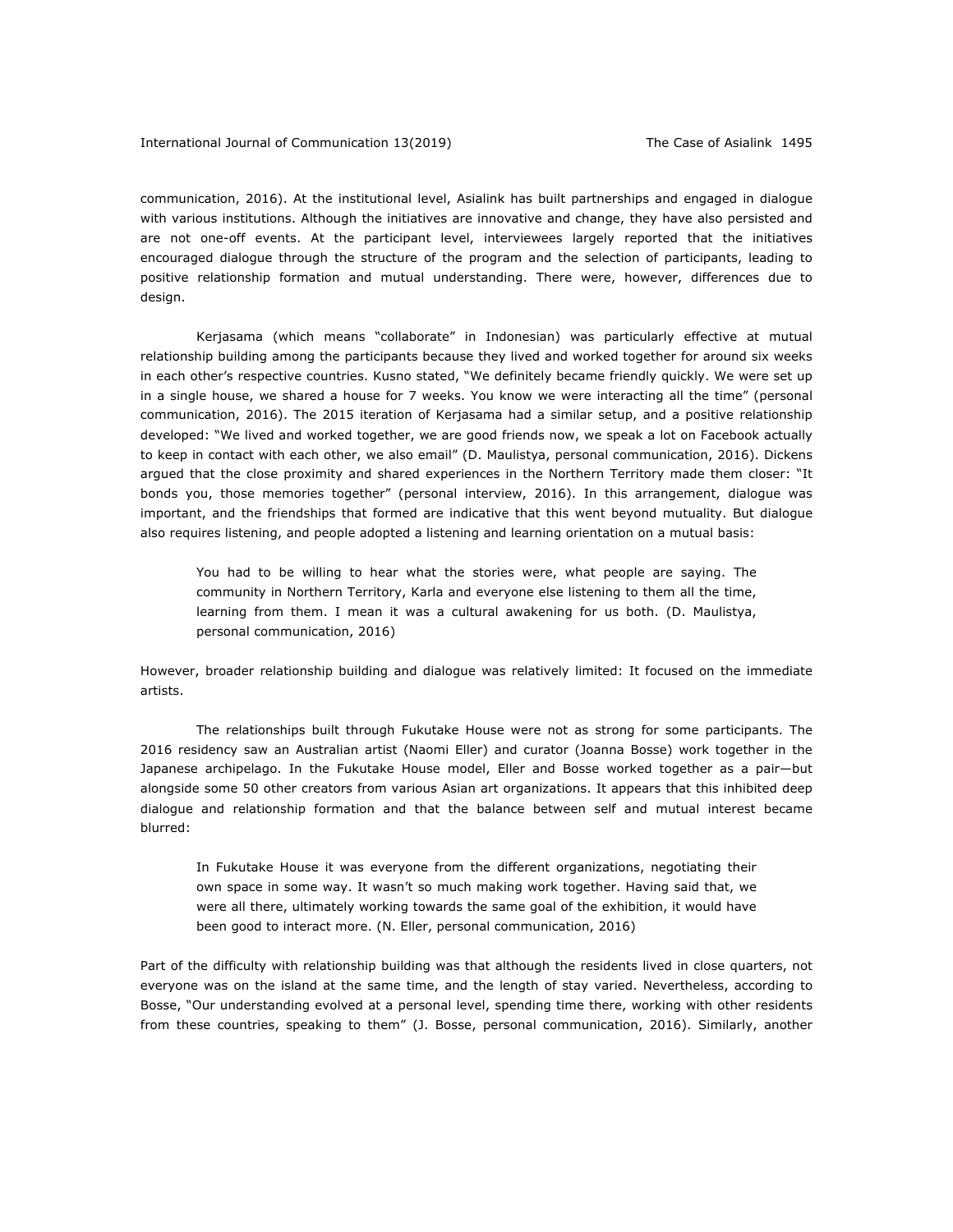communication, 2016). At the institutional level, Asialink has built partnerships and engaged in dialogue with various institutions. Although the initiatives are innovative and change, they have also persisted and are not one-off events. At the participant level, interviewees largely reported that the initiatives encouraged dialogue through the structure of the program and the selection of participants, leading to positive relationship formation and mutual understanding. There were, however, differences due to design.

Kerjasama (which means "collaborate" in Indonesian) was particularly effective at mutual relationship building among the participants because they lived and worked together for around six weeks in each other's respective countries. Kusno stated, "We definitely became friendly quickly. We were set up in a single house, we shared a house for 7 weeks. You know we were interacting all the time" (personal communication, 2016). The 2015 iteration of Kerjasama had a similar setup, and a positive relationship developed: "We lived and worked together, we are good friends now, we speak a lot on Facebook actually to keep in contact with each other, we also email" (D. Maulistya, personal communication, 2016). Dickens argued that the close proximity and shared experiences in the Northern Territory made them closer: "It bonds you, those memories together" (personal interview, 2016). In this arrangement, dialogue was important, and the friendships that formed are indicative that this went beyond mutuality. But dialogue also requires listening, and people adopted a listening and learning orientation on a mutual basis:

You had to be willing to hear what the stories were, what people are saying. The community in Northern Territory, Karla and everyone else listening to them all the time, learning from them. I mean it was a cultural awakening for us both. (D. Maulistya, personal communication, 2016)

However, broader relationship building and dialogue was relatively limited: It focused on the immediate artists.

The relationships built through Fukutake House were not as strong for some participants. The 2016 residency saw an Australian artist (Naomi Eller) and curator (Joanna Bosse) work together in the Japanese archipelago. In the Fukutake House model, Eller and Bosse worked together as a pair—but alongside some 50 other creators from various Asian art organizations. It appears that this inhibited deep dialogue and relationship formation and that the balance between self and mutual interest became blurred:

In Fukutake House it was everyone from the different organizations, negotiating their own space in some way. It wasn't so much making work together. Having said that, we were all there, ultimately working towards the same goal of the exhibition, it would have been good to interact more. (N. Eller, personal communication, 2016)

Part of the difficulty with relationship building was that although the residents lived in close quarters, not everyone was on the island at the same time, and the length of stay varied. Nevertheless, according to Bosse, "Our understanding evolved at a personal level, spending time there, working with other residents from these countries, speaking to them" (J. Bosse, personal communication, 2016). Similarly, another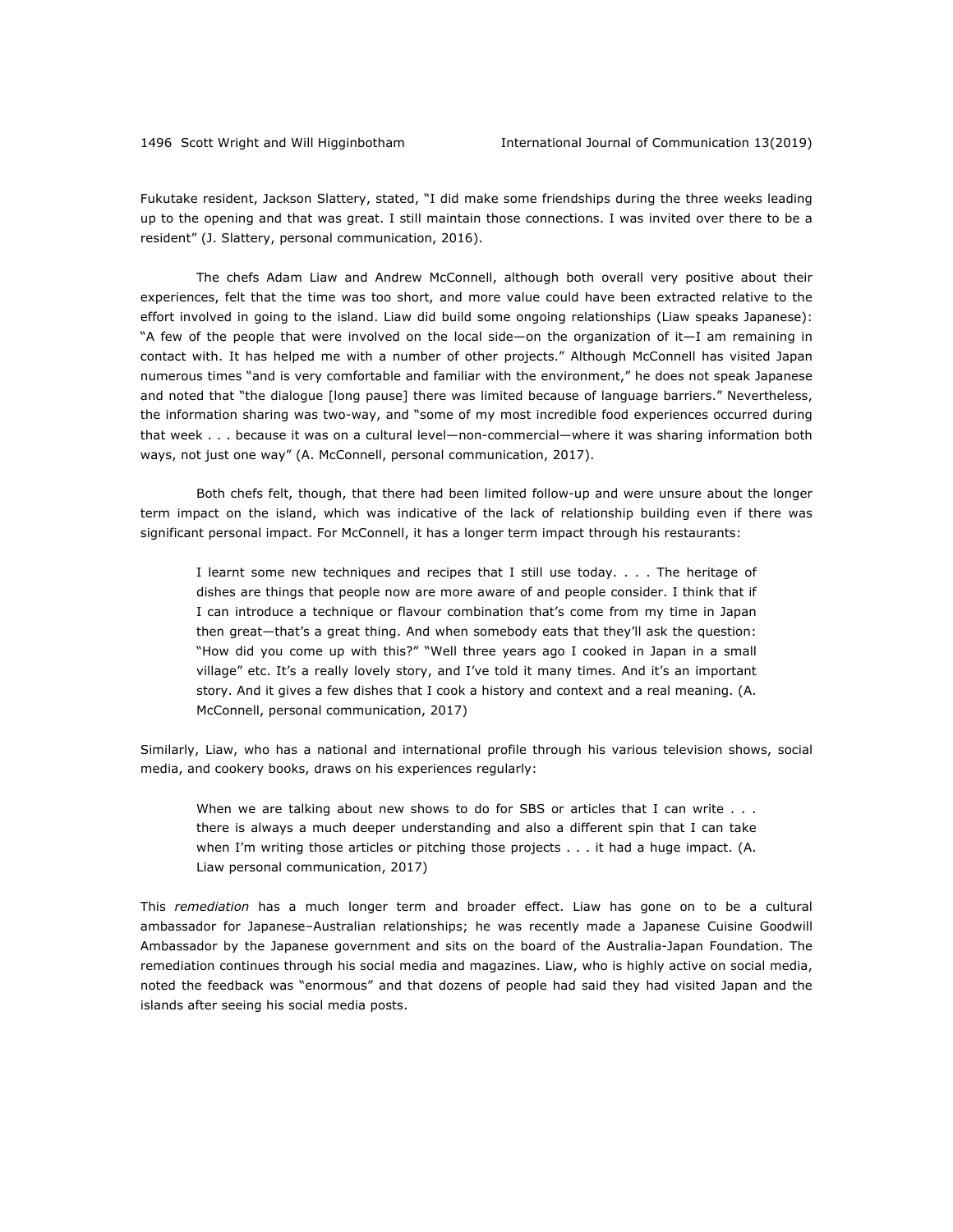Fukutake resident, Jackson Slattery, stated, "I did make some friendships during the three weeks leading up to the opening and that was great. I still maintain those connections. I was invited over there to be a resident" (J. Slattery, personal communication, 2016).

The chefs Adam Liaw and Andrew McConnell, although both overall very positive about their experiences, felt that the time was too short, and more value could have been extracted relative to the effort involved in going to the island. Liaw did build some ongoing relationships (Liaw speaks Japanese): "A few of the people that were involved on the local side—on the organization of it—I am remaining in contact with. It has helped me with a number of other projects." Although McConnell has visited Japan numerous times "and is very comfortable and familiar with the environment," he does not speak Japanese and noted that "the dialogue [long pause] there was limited because of language barriers." Nevertheless, the information sharing was two-way, and "some of my most incredible food experiences occurred during that week . . . because it was on a cultural level—non-commercial—where it was sharing information both ways, not just one way" (A. McConnell, personal communication, 2017).

Both chefs felt, though, that there had been limited follow-up and were unsure about the longer term impact on the island, which was indicative of the lack of relationship building even if there was significant personal impact. For McConnell, it has a longer term impact through his restaurants:

I learnt some new techniques and recipes that I still use today. . . . The heritage of dishes are things that people now are more aware of and people consider. I think that if I can introduce a technique or flavour combination that's come from my time in Japan then great—that's a great thing. And when somebody eats that they'll ask the question: "How did you come up with this?" "Well three years ago I cooked in Japan in a small village" etc. It's a really lovely story, and I've told it many times. And it's an important story. And it gives a few dishes that I cook a history and context and a real meaning. (A. McConnell, personal communication, 2017)

Similarly, Liaw, who has a national and international profile through his various television shows, social media, and cookery books, draws on his experiences regularly:

When we are talking about new shows to do for SBS or articles that I can write . . . there is always a much deeper understanding and also a different spin that I can take when I'm writing those articles or pitching those projects . . . it had a huge impact. (A. Liaw personal communication, 2017)

This *remediation* has a much longer term and broader effect. Liaw has gone on to be a cultural ambassador for Japanese–Australian relationships; he was recently made a Japanese Cuisine Goodwill Ambassador by the Japanese government and sits on the board of the Australia-Japan Foundation. The remediation continues through his social media and magazines. Liaw, who is highly active on social media, noted the feedback was "enormous" and that dozens of people had said they had visited Japan and the islands after seeing his social media posts.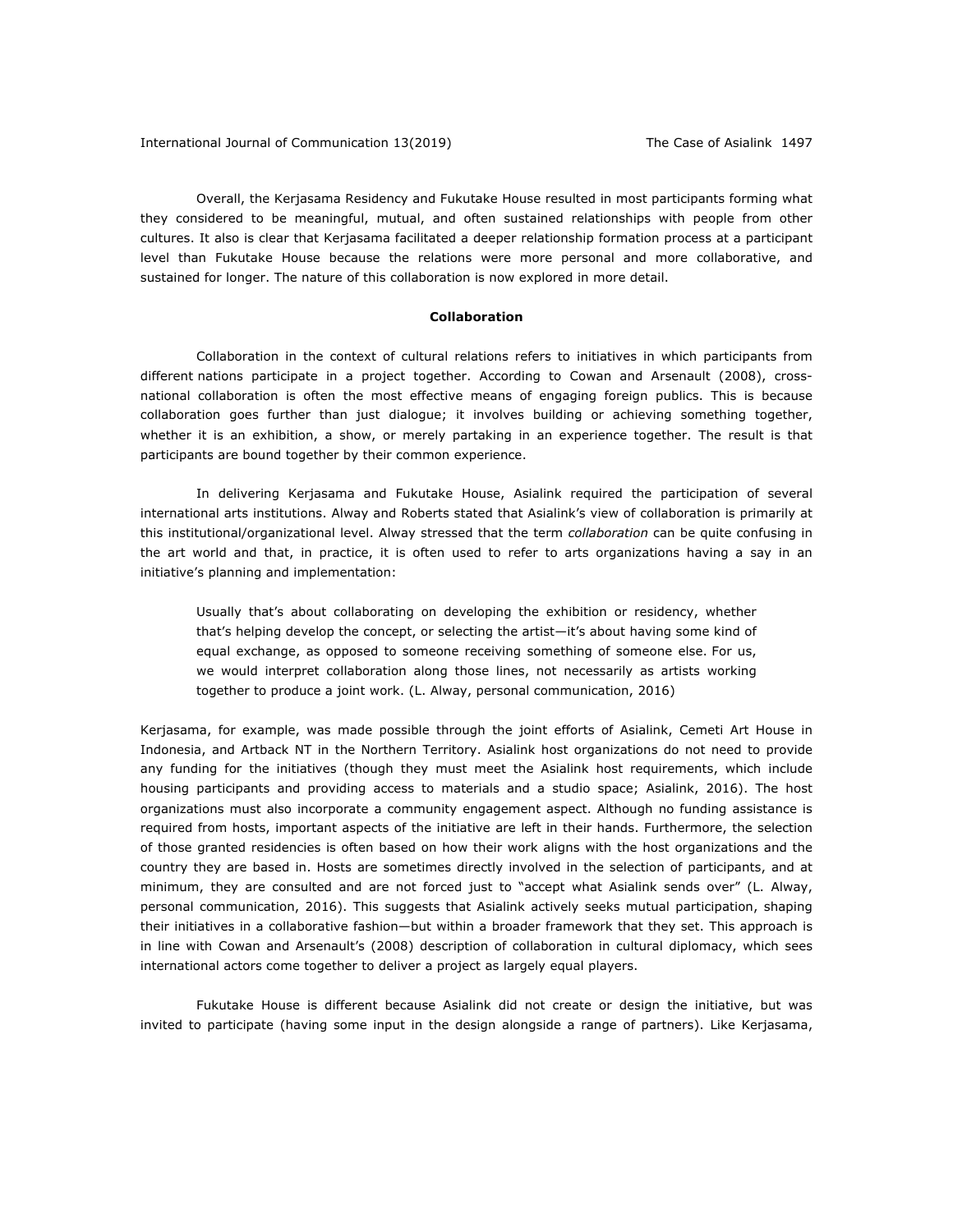Overall, the Kerjasama Residency and Fukutake House resulted in most participants forming what they considered to be meaningful, mutual, and often sustained relationships with people from other cultures. It also is clear that Kerjasama facilitated a deeper relationship formation process at a participant level than Fukutake House because the relations were more personal and more collaborative, and sustained for longer. The nature of this collaboration is now explored in more detail.

## **Collaboration**

Collaboration in the context of cultural relations refers to initiatives in which participants from different nations participate in a project together. According to Cowan and Arsenault (2008), crossnational collaboration is often the most effective means of engaging foreign publics. This is because collaboration goes further than just dialogue; it involves building or achieving something together, whether it is an exhibition, a show, or merely partaking in an experience together. The result is that participants are bound together by their common experience.

In delivering Kerjasama and Fukutake House, Asialink required the participation of several international arts institutions. Alway and Roberts stated that Asialink's view of collaboration is primarily at this institutional/organizational level. Alway stressed that the term *collaboration* can be quite confusing in the art world and that, in practice, it is often used to refer to arts organizations having a say in an initiative's planning and implementation:

Usually that's about collaborating on developing the exhibition or residency, whether that's helping develop the concept, or selecting the artist—it's about having some kind of equal exchange, as opposed to someone receiving something of someone else. For us, we would interpret collaboration along those lines, not necessarily as artists working together to produce a joint work. (L. Alway, personal communication, 2016)

Kerjasama, for example, was made possible through the joint efforts of Asialink, Cemeti Art House in Indonesia, and Artback NT in the Northern Territory. Asialink host organizations do not need to provide any funding for the initiatives (though they must meet the Asialink host requirements, which include housing participants and providing access to materials and a studio space; Asialink, 2016). The host organizations must also incorporate a community engagement aspect. Although no funding assistance is required from hosts, important aspects of the initiative are left in their hands. Furthermore, the selection of those granted residencies is often based on how their work aligns with the host organizations and the country they are based in. Hosts are sometimes directly involved in the selection of participants, and at minimum, they are consulted and are not forced just to "accept what Asialink sends over" (L. Alway, personal communication, 2016). This suggests that Asialink actively seeks mutual participation, shaping their initiatives in a collaborative fashion—but within a broader framework that they set. This approach is in line with Cowan and Arsenault's (2008) description of collaboration in cultural diplomacy, which sees international actors come together to deliver a project as largely equal players.

Fukutake House is different because Asialink did not create or design the initiative, but was invited to participate (having some input in the design alongside a range of partners). Like Kerjasama,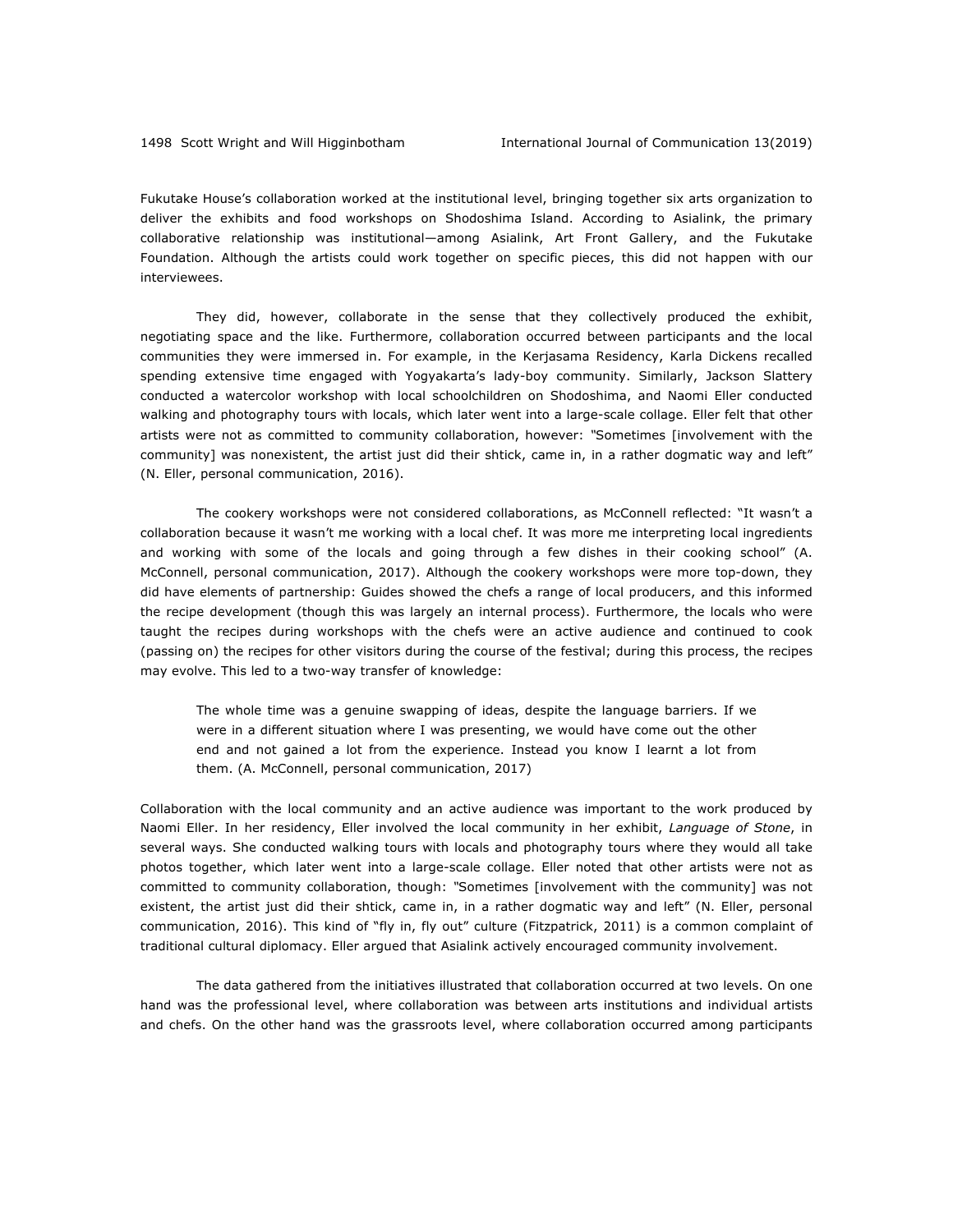Fukutake House's collaboration worked at the institutional level, bringing together six arts organization to deliver the exhibits and food workshops on Shodoshima Island. According to Asialink, the primary collaborative relationship was institutional—among Asialink, Art Front Gallery, and the Fukutake Foundation. Although the artists could work together on specific pieces, this did not happen with our interviewees.

They did, however, collaborate in the sense that they collectively produced the exhibit, negotiating space and the like. Furthermore, collaboration occurred between participants and the local communities they were immersed in. For example, in the Kerjasama Residency, Karla Dickens recalled spending extensive time engaged with Yogyakarta's lady-boy community. Similarly, Jackson Slattery conducted a watercolor workshop with local schoolchildren on Shodoshima, and Naomi Eller conducted walking and photography tours with locals, which later went into a large-scale collage. Eller felt that other artists were not as committed to community collaboration, however: *"*Sometimes [involvement with the community] was nonexistent, the artist just did their shtick, came in, in a rather dogmatic way and left" (N. Eller, personal communication, 2016).

The cookery workshops were not considered collaborations, as McConnell reflected: "It wasn't a collaboration because it wasn't me working with a local chef. It was more me interpreting local ingredients and working with some of the locals and going through a few dishes in their cooking school" (A. McConnell, personal communication, 2017). Although the cookery workshops were more top-down, they did have elements of partnership: Guides showed the chefs a range of local producers, and this informed the recipe development (though this was largely an internal process). Furthermore, the locals who were taught the recipes during workshops with the chefs were an active audience and continued to cook (passing on) the recipes for other visitors during the course of the festival; during this process, the recipes may evolve. This led to a two-way transfer of knowledge:

The whole time was a genuine swapping of ideas, despite the language barriers. If we were in a different situation where I was presenting, we would have come out the other end and not gained a lot from the experience. Instead you know I learnt a lot from them. (A. McConnell, personal communication, 2017)

Collaboration with the local community and an active audience was important to the work produced by Naomi Eller. In her residency, Eller involved the local community in her exhibit, *Language of Stone*, in several ways. She conducted walking tours with locals and photography tours where they would all take photos together, which later went into a large-scale collage. Eller noted that other artists were not as committed to community collaboration, though: *"*Sometimes [involvement with the community] was not existent, the artist just did their shtick, came in, in a rather dogmatic way and left" (N. Eller, personal communication, 2016). This kind of "fly in, fly out" culture (Fitzpatrick, 2011) is a common complaint of traditional cultural diplomacy. Eller argued that Asialink actively encouraged community involvement.

The data gathered from the initiatives illustrated that collaboration occurred at two levels. On one hand was the professional level, where collaboration was between arts institutions and individual artists and chefs. On the other hand was the grassroots level, where collaboration occurred among participants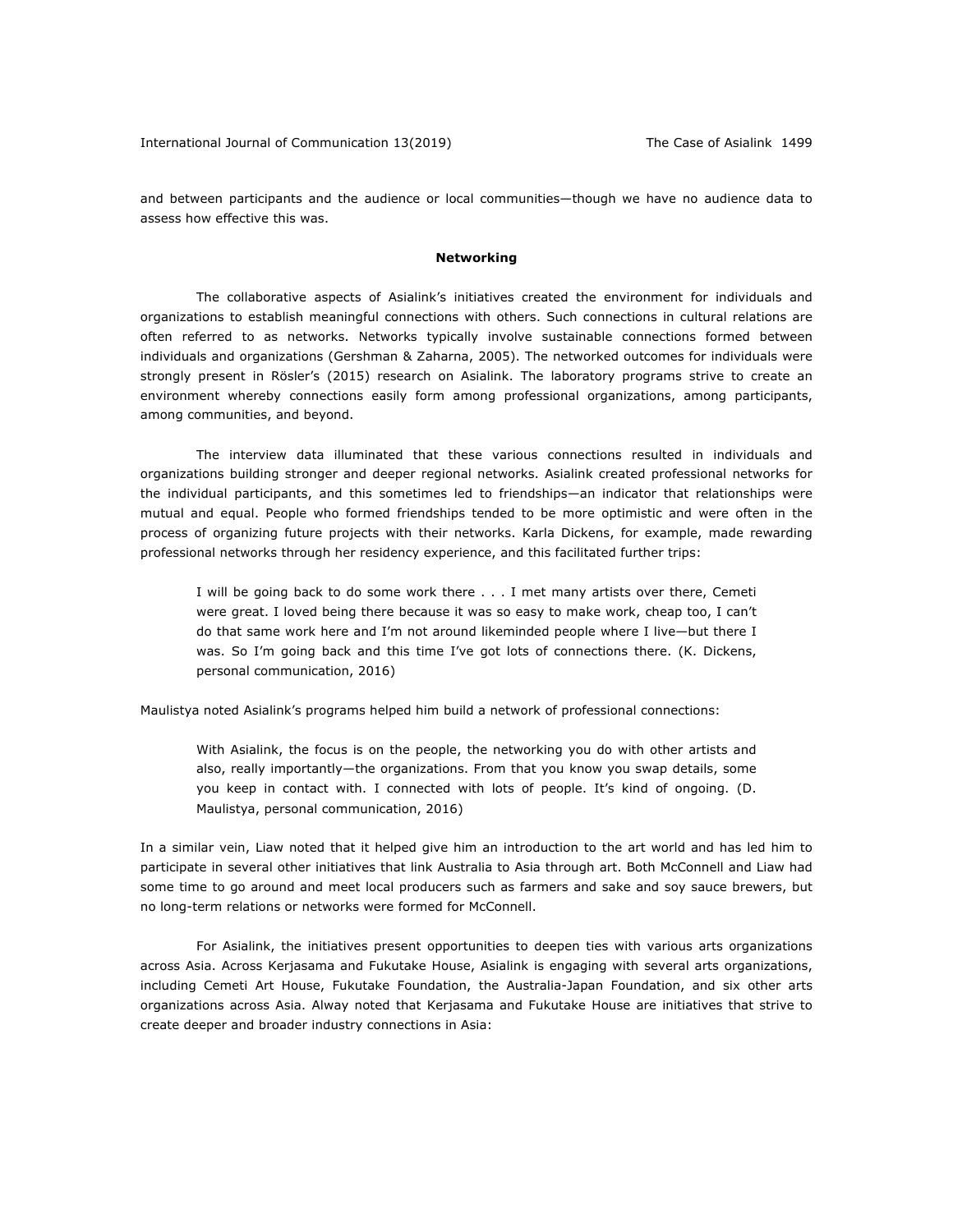and between participants and the audience or local communities—though we have no audience data to assess how effective this was.

#### **Networking**

The collaborative aspects of Asialink's initiatives created the environment for individuals and organizations to establish meaningful connections with others. Such connections in cultural relations are often referred to as networks. Networks typically involve sustainable connections formed between individuals and organizations (Gershman & Zaharna, 2005). The networked outcomes for individuals were strongly present in Rösler's (2015) research on Asialink. The laboratory programs strive to create an environment whereby connections easily form among professional organizations, among participants, among communities, and beyond.

The interview data illuminated that these various connections resulted in individuals and organizations building stronger and deeper regional networks. Asialink created professional networks for the individual participants, and this sometimes led to friendships—an indicator that relationships were mutual and equal. People who formed friendships tended to be more optimistic and were often in the process of organizing future projects with their networks. Karla Dickens, for example, made rewarding professional networks through her residency experience, and this facilitated further trips:

I will be going back to do some work there . . . I met many artists over there, Cemeti were great. I loved being there because it was so easy to make work, cheap too, I can't do that same work here and I'm not around likeminded people where I live—but there I was. So I'm going back and this time I've got lots of connections there. (K. Dickens, personal communication, 2016)

Maulistya noted Asialink's programs helped him build a network of professional connections:

With Asialink, the focus is on the people, the networking you do with other artists and also, really importantly—the organizations. From that you know you swap details, some you keep in contact with. I connected with lots of people. It's kind of ongoing. (D. Maulistya, personal communication, 2016)

In a similar vein, Liaw noted that it helped give him an introduction to the art world and has led him to participate in several other initiatives that link Australia to Asia through art. Both McConnell and Liaw had some time to go around and meet local producers such as farmers and sake and soy sauce brewers, but no long-term relations or networks were formed for McConnell.

For Asialink, the initiatives present opportunities to deepen ties with various arts organizations across Asia. Across Kerjasama and Fukutake House, Asialink is engaging with several arts organizations, including Cemeti Art House, Fukutake Foundation, the Australia-Japan Foundation, and six other arts organizations across Asia. Alway noted that Kerjasama and Fukutake House are initiatives that strive to create deeper and broader industry connections in Asia: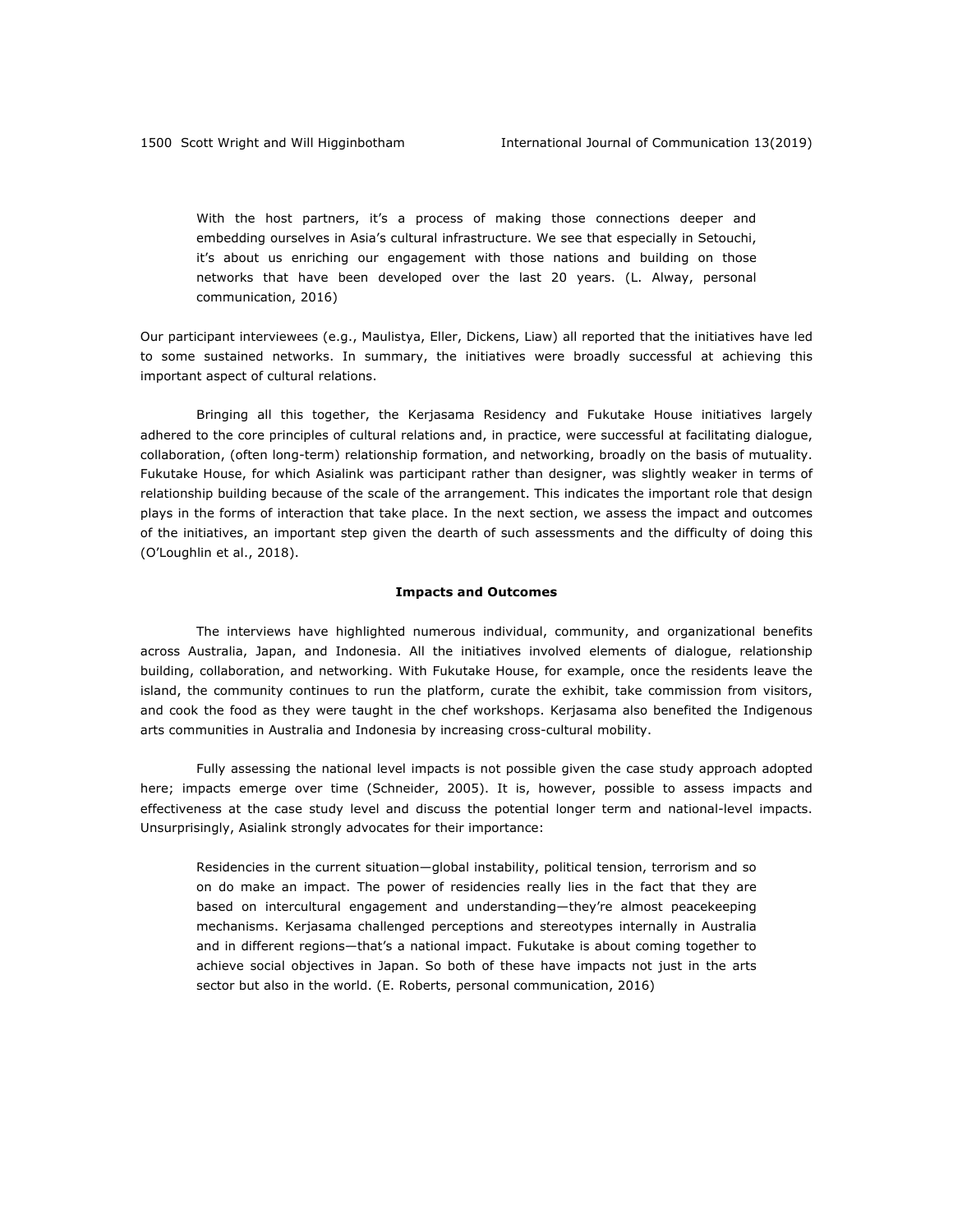With the host partners, it's a process of making those connections deeper and embedding ourselves in Asia's cultural infrastructure. We see that especially in Setouchi, it's about us enriching our engagement with those nations and building on those networks that have been developed over the last 20 years. (L. Alway, personal communication, 2016)

Our participant interviewees (e.g., Maulistya, Eller, Dickens, Liaw) all reported that the initiatives have led to some sustained networks. In summary, the initiatives were broadly successful at achieving this important aspect of cultural relations.

Bringing all this together, the Kerjasama Residency and Fukutake House initiatives largely adhered to the core principles of cultural relations and, in practice, were successful at facilitating dialogue, collaboration, (often long-term) relationship formation, and networking, broadly on the basis of mutuality. Fukutake House, for which Asialink was participant rather than designer, was slightly weaker in terms of relationship building because of the scale of the arrangement. This indicates the important role that design plays in the forms of interaction that take place. In the next section, we assess the impact and outcomes of the initiatives, an important step given the dearth of such assessments and the difficulty of doing this (O'Loughlin et al., 2018).

#### **Impacts and Outcomes**

The interviews have highlighted numerous individual, community, and organizational benefits across Australia, Japan, and Indonesia. All the initiatives involved elements of dialogue, relationship building, collaboration, and networking. With Fukutake House, for example, once the residents leave the island, the community continues to run the platform, curate the exhibit, take commission from visitors, and cook the food as they were taught in the chef workshops. Kerjasama also benefited the Indigenous arts communities in Australia and Indonesia by increasing cross-cultural mobility.

Fully assessing the national level impacts is not possible given the case study approach adopted here; impacts emerge over time (Schneider, 2005). It is, however, possible to assess impacts and effectiveness at the case study level and discuss the potential longer term and national-level impacts. Unsurprisingly, Asialink strongly advocates for their importance:

Residencies in the current situation—global instability, political tension, terrorism and so on do make an impact. The power of residencies really lies in the fact that they are based on intercultural engagement and understanding—they're almost peacekeeping mechanisms. Kerjasama challenged perceptions and stereotypes internally in Australia and in different regions—that's a national impact. Fukutake is about coming together to achieve social objectives in Japan. So both of these have impacts not just in the arts sector but also in the world. (E. Roberts, personal communication, 2016)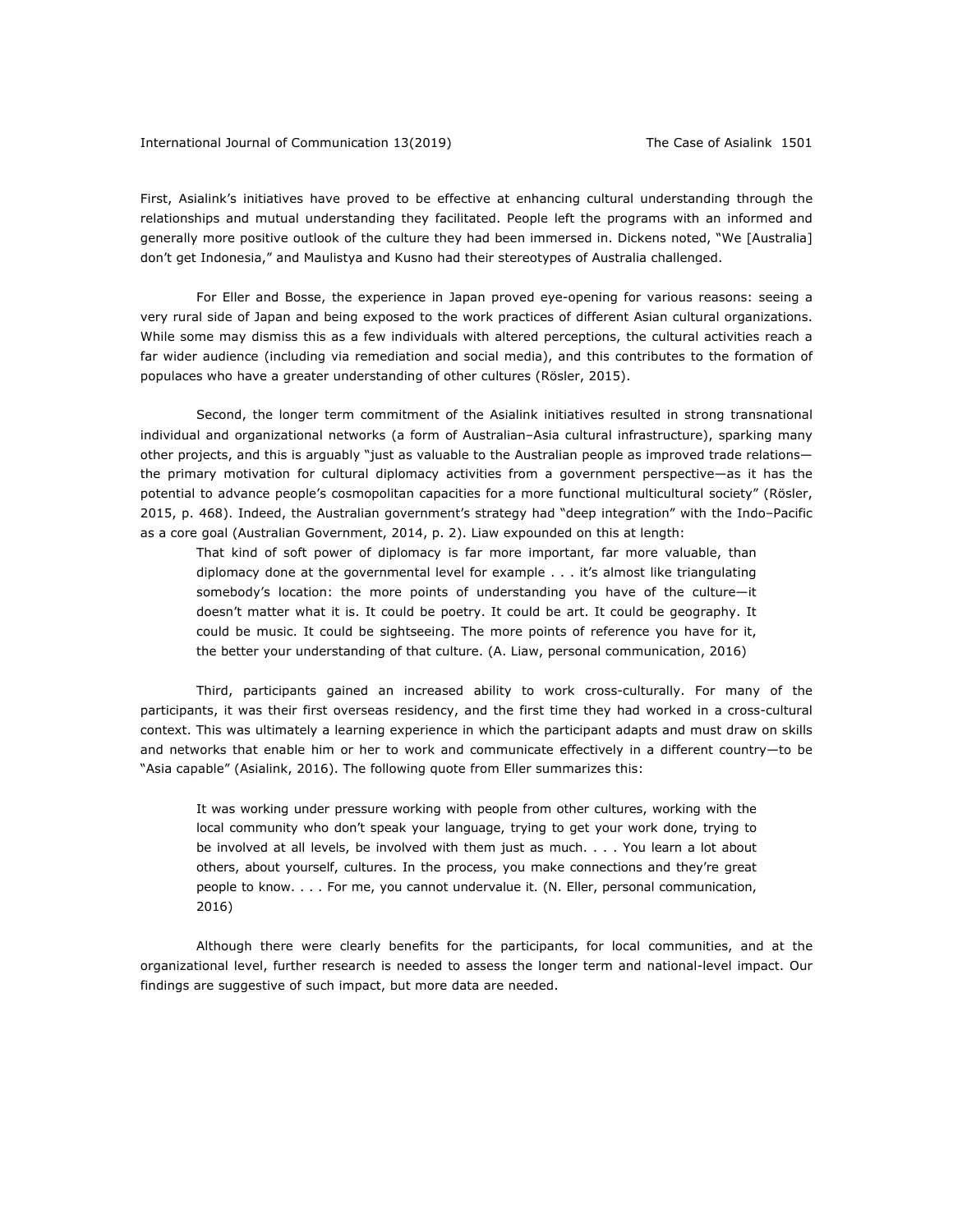#### International Journal of Communication 13(2019) The Case of Asialink 1501

First, Asialink's initiatives have proved to be effective at enhancing cultural understanding through the relationships and mutual understanding they facilitated. People left the programs with an informed and generally more positive outlook of the culture they had been immersed in. Dickens noted, "We [Australia] don't get Indonesia," and Maulistya and Kusno had their stereotypes of Australia challenged.

For Eller and Bosse, the experience in Japan proved eye-opening for various reasons: seeing a very rural side of Japan and being exposed to the work practices of different Asian cultural organizations. While some may dismiss this as a few individuals with altered perceptions, the cultural activities reach a far wider audience (including via remediation and social media), and this contributes to the formation of populaces who have a greater understanding of other cultures (Rösler, 2015).

Second, the longer term commitment of the Asialink initiatives resulted in strong transnational individual and organizational networks (a form of Australian–Asia cultural infrastructure), sparking many other projects, and this is arguably "just as valuable to the Australian people as improved trade relations the primary motivation for cultural diplomacy activities from a government perspective—as it has the potential to advance people's cosmopolitan capacities for a more functional multicultural society" (Rösler, 2015, p. 468). Indeed, the Australian government's strategy had "deep integration" with the Indo–Pacific as a core goal (Australian Government, 2014, p. 2). Liaw expounded on this at length:

That kind of soft power of diplomacy is far more important, far more valuable, than diplomacy done at the governmental level for example . . . it's almost like triangulating somebody's location: the more points of understanding you have of the culture—it doesn't matter what it is. It could be poetry. It could be art. It could be geography. It could be music. It could be sightseeing. The more points of reference you have for it, the better your understanding of that culture. (A. Liaw, personal communication, 2016)

Third, participants gained an increased ability to work cross-culturally. For many of the participants, it was their first overseas residency, and the first time they had worked in a cross-cultural context. This was ultimately a learning experience in which the participant adapts and must draw on skills and networks that enable him or her to work and communicate effectively in a different country—to be "Asia capable" (Asialink, 2016). The following quote from Eller summarizes this:

It was working under pressure working with people from other cultures, working with the local community who don't speak your language, trying to get your work done, trying to be involved at all levels, be involved with them just as much. . . . You learn a lot about others, about yourself, cultures. In the process, you make connections and they're great people to know. . . . For me, you cannot undervalue it. (N. Eller, personal communication, 2016)

Although there were clearly benefits for the participants, for local communities, and at the organizational level, further research is needed to assess the longer term and national-level impact. Our findings are suggestive of such impact, but more data are needed.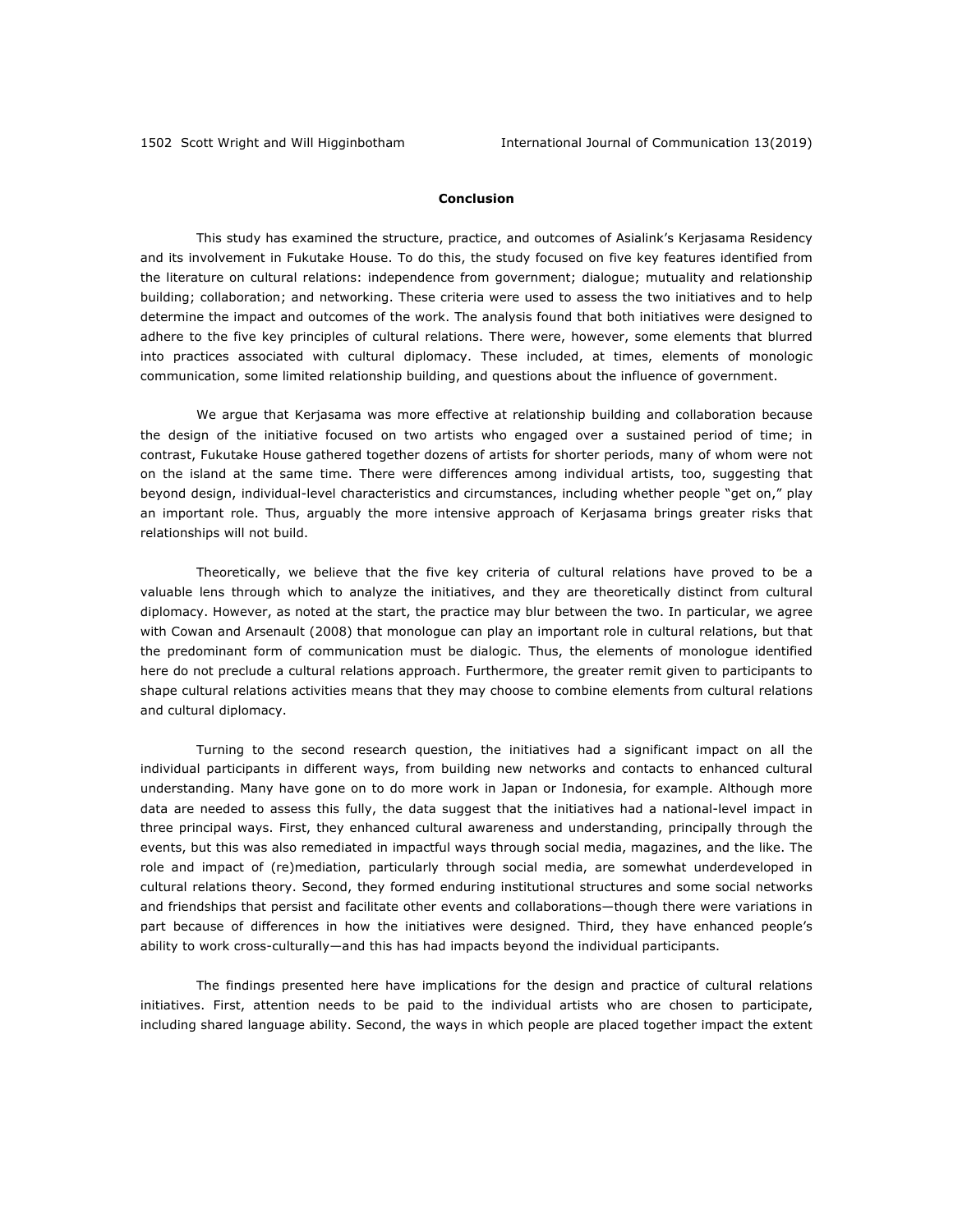### **Conclusion**

This study has examined the structure, practice, and outcomes of Asialink's Kerjasama Residency and its involvement in Fukutake House. To do this, the study focused on five key features identified from the literature on cultural relations: independence from government; dialogue; mutuality and relationship building; collaboration; and networking. These criteria were used to assess the two initiatives and to help determine the impact and outcomes of the work. The analysis found that both initiatives were designed to adhere to the five key principles of cultural relations. There were, however, some elements that blurred into practices associated with cultural diplomacy. These included, at times, elements of monologic communication, some limited relationship building, and questions about the influence of government.

We argue that Kerjasama was more effective at relationship building and collaboration because the design of the initiative focused on two artists who engaged over a sustained period of time; in contrast, Fukutake House gathered together dozens of artists for shorter periods, many of whom were not on the island at the same time. There were differences among individual artists, too, suggesting that beyond design, individual-level characteristics and circumstances, including whether people "get on," play an important role. Thus, arguably the more intensive approach of Kerjasama brings greater risks that relationships will not build.

Theoretically, we believe that the five key criteria of cultural relations have proved to be a valuable lens through which to analyze the initiatives, and they are theoretically distinct from cultural diplomacy. However, as noted at the start, the practice may blur between the two. In particular, we agree with Cowan and Arsenault (2008) that monologue can play an important role in cultural relations, but that the predominant form of communication must be dialogic. Thus, the elements of monologue identified here do not preclude a cultural relations approach. Furthermore, the greater remit given to participants to shape cultural relations activities means that they may choose to combine elements from cultural relations and cultural diplomacy.

Turning to the second research question, the initiatives had a significant impact on all the individual participants in different ways, from building new networks and contacts to enhanced cultural understanding. Many have gone on to do more work in Japan or Indonesia, for example. Although more data are needed to assess this fully, the data suggest that the initiatives had a national-level impact in three principal ways. First, they enhanced cultural awareness and understanding, principally through the events, but this was also remediated in impactful ways through social media, magazines, and the like. The role and impact of (re)mediation, particularly through social media, are somewhat underdeveloped in cultural relations theory. Second, they formed enduring institutional structures and some social networks and friendships that persist and facilitate other events and collaborations—though there were variations in part because of differences in how the initiatives were designed. Third, they have enhanced people's ability to work cross-culturally—and this has had impacts beyond the individual participants.

The findings presented here have implications for the design and practice of cultural relations initiatives. First, attention needs to be paid to the individual artists who are chosen to participate, including shared language ability. Second, the ways in which people are placed together impact the extent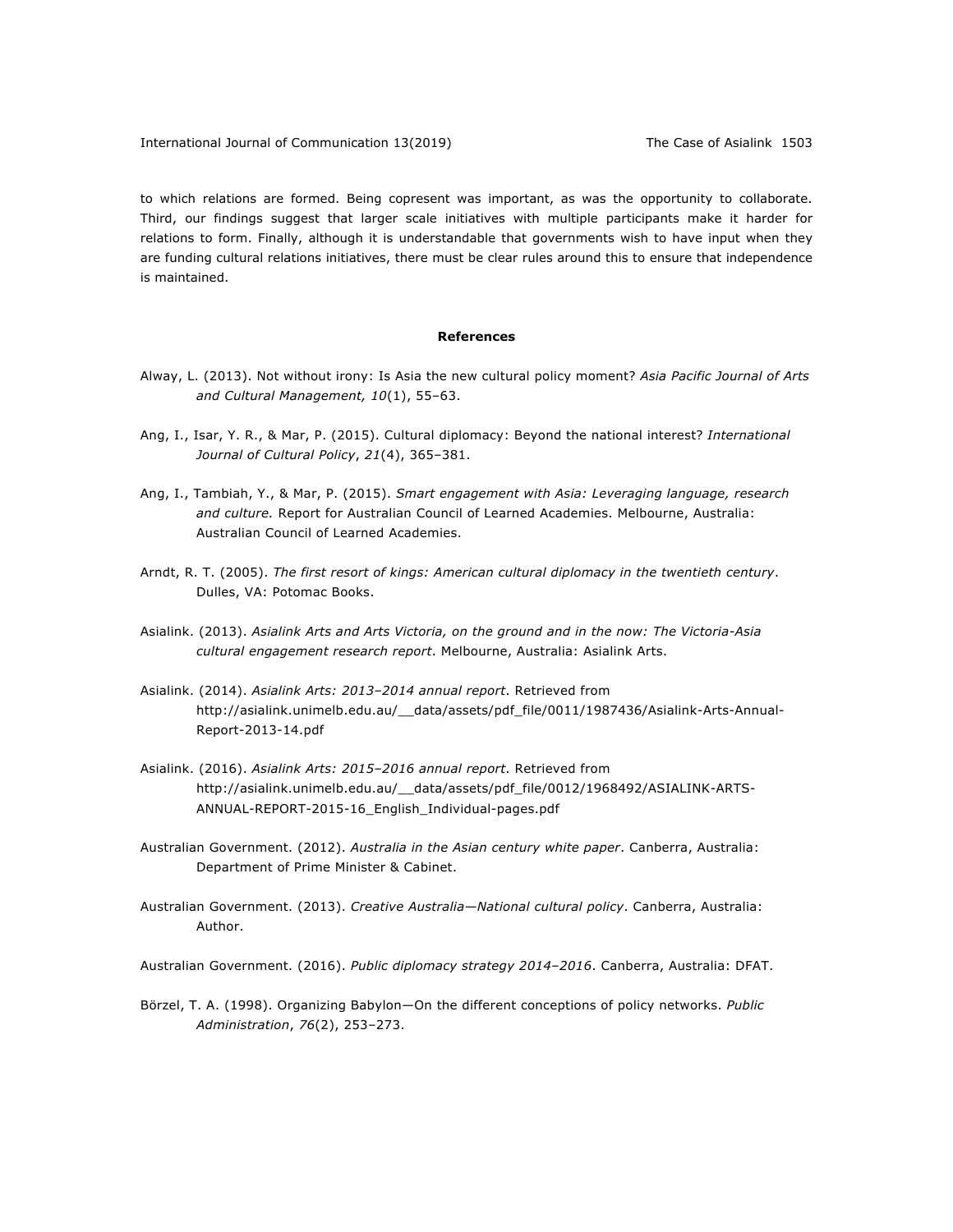to which relations are formed. Being copresent was important, as was the opportunity to collaborate. Third, our findings suggest that larger scale initiatives with multiple participants make it harder for relations to form. Finally, although it is understandable that governments wish to have input when they are funding cultural relations initiatives, there must be clear rules around this to ensure that independence is maintained.

#### **References**

- Alway, L. (2013). Not without irony: Is Asia the new cultural policy moment? *Asia Pacific Journal of Arts*  and Cultural Management, 10(1), 55-63.
- Ang, I., Isar, Y. R., & Mar, P. (2015). Cultural diplomacy: Beyond the national interest? *International Journal of Cultural Policy*, *21*(4), 365–381.
- Ang, I., Tambiah, Y., & Mar, P. (2015). *Smart engagement with Asia: Leveraging language, research and culture.* Report for Australian Council of Learned Academies. Melbourne, Australia: Australian Council of Learned Academies.
- Arndt, R. T. (2005). *The first resort of kings: American cultural diplomacy in the twentieth century*. Dulles, VA: Potomac Books.
- Asialink. (2013). *Asialink Arts and Arts Victoria, on the ground and in the now: The Victoria-Asia cultural engagement research report*. Melbourne, Australia: Asialink Arts.
- Asialink. (2014). *Asialink Arts: 2013–2014 annual report*. Retrieved from http://asialink.unimelb.edu.au/\_\_data/assets/pdf\_file/0011/1987436/Asialink-Arts-Annual-Report-2013-14.pdf
- Asialink. (2016). *Asialink Arts: 2015‒2016 annual report*. Retrieved from http://asialink.unimelb.edu.au/\_\_data/assets/pdf\_file/0012/1968492/ASIALINK-ARTS-ANNUAL-REPORT-2015-16\_English\_Individual-pages.pdf
- Australian Government. (2012). *Australia in the Asian century white paper*. Canberra, Australia: Department of Prime Minister & Cabinet.
- Australian Government. (2013). *Creative Australia—National cultural policy*. Canberra, Australia: Author.

Australian Government. (2016). *Public diplomacy strategy 2014–2016*. Canberra, Australia: DFAT.

Börzel, T. A. (1998). Organizing Babylon—On the different conceptions of policy networks. *Public Administration*, *76*(2), 253–273.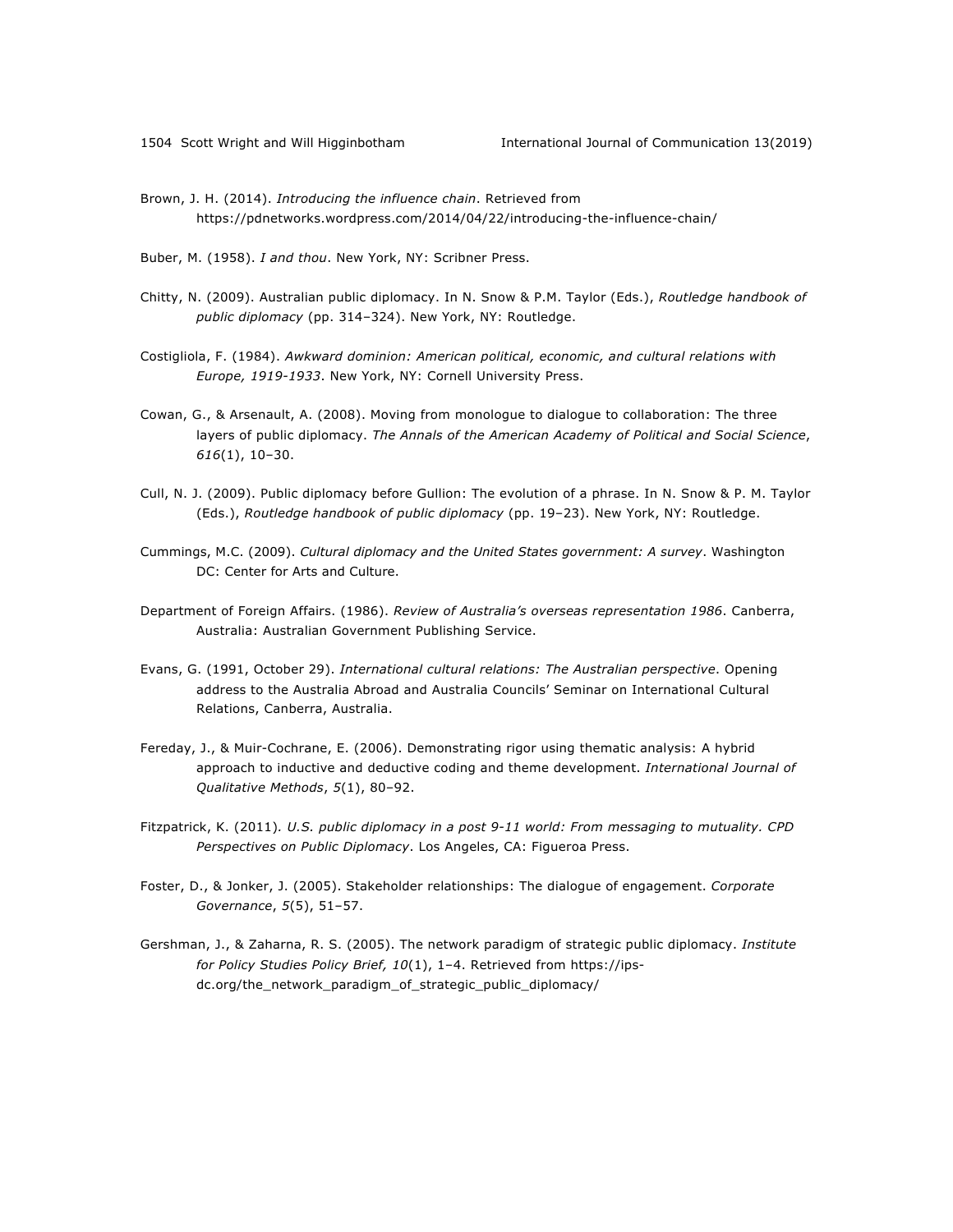Brown, J. H. (2014). *Introducing the influence chain*. Retrieved from https://pdnetworks.wordpress.com/2014/04/22/introducing-the-influence-chain/

Buber, M. (1958). *I and thou*. New York, NY: Scribner Press.

- Chitty, N. (2009). Australian public diplomacy. In N. Snow & P.M. Taylor (Eds.), *Routledge handbook of public diplomacy* (pp. 314–324). New York, NY: Routledge.
- Costigliola, F. (1984). *Awkward dominion: American political, economic, and cultural relations with Europe, 1919-1933*. New York, NY: Cornell University Press.
- Cowan, G., & Arsenault, A. (2008). Moving from monologue to dialogue to collaboration: The three layers of public diplomacy. *The Annals of the American Academy of Political and Social Science*, *616*(1), 10–30.
- Cull, N. J. (2009). Public diplomacy before Gullion: The evolution of a phrase. In N. Snow & P. M. Taylor (Eds.), *Routledge handbook of public diplomacy* (pp. 19–23). New York, NY: Routledge.
- Cummings, M.C. (2009). *Cultural diplomacy and the United States government: A survey*. Washington DC: Center for Arts and Culture.
- Department of Foreign Affairs. (1986). *Review of Australia's overseas representation 1986*. Canberra, Australia: Australian Government Publishing Service.
- Evans, G. (1991, October 29). *International cultural relations: The Australian perspective*. Opening address to the Australia Abroad and Australia Councils' Seminar on International Cultural Relations, Canberra, Australia.
- Fereday, J., & Muir-Cochrane, E. (2006). Demonstrating rigor using thematic analysis: A hybrid approach to inductive and deductive coding and theme development. *International Journal of Qualitative Methods*, *5*(1), 80–92.
- Fitzpatrick, K. (2011)*. U.S. public diplomacy in a post 9-11 world: From messaging to mutuality. CPD Perspectives on Public Diplomacy*. Los Angeles, CA: Figueroa Press.
- Foster, D., & Jonker, J. (2005). Stakeholder relationships: The dialogue of engagement. *Corporate Governance*, *5*(5), 51–57.
- Gershman, J., & Zaharna, R. S. (2005). The network paradigm of strategic public diplomacy. *Institute for Policy Studies Policy Brief, 10*(1), 1–4. Retrieved from https://ipsdc.org/the\_network\_paradigm\_of\_strategic\_public\_diplomacy/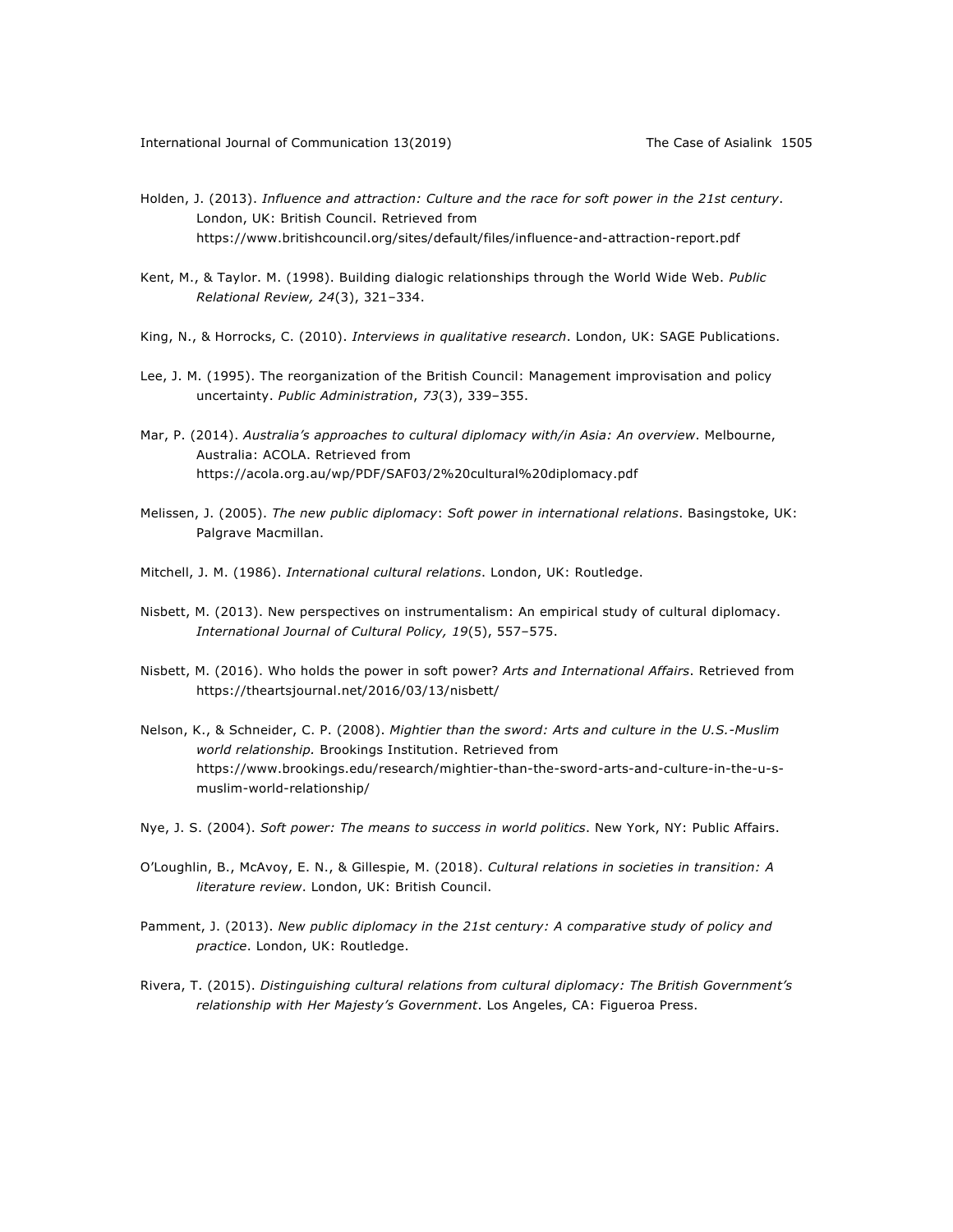- Holden, J. (2013). *Influence and attraction: Culture and the race for soft power in the 21st century*. London, UK: British Council. Retrieved from https://www.britishcouncil.org/sites/default/files/influence-and-attraction-report.pdf
- Kent, M., & Taylor. M. (1998). Building dialogic relationships through the World Wide Web. *Public Relational Review, 24*(3), 321–334.
- King, N., & Horrocks, C. (2010). *Interviews in qualitative research*. London, UK: SAGE Publications.
- Lee, J. M. (1995). The reorganization of the British Council: Management improvisation and policy uncertainty. *Public Administration*, *73*(3), 339–355.
- Mar, P. (2014). *Australia's approaches to cultural diplomacy with/in Asia: An overview*. Melbourne, Australia: ACOLA. Retrieved from https://acola.org.au/wp/PDF/SAF03/2%20cultural%20diplomacy.pdf
- Melissen, J. (2005). *The new public diplomacy*: *Soft power in international relations*. Basingstoke, UK: Palgrave Macmillan.
- Mitchell, J. M. (1986). *International cultural relations*. London, UK: Routledge.
- Nisbett, M. (2013). New perspectives on instrumentalism: An empirical study of cultural diplomacy. *International Journal of Cultural Policy, 19*(5), 557–575.
- Nisbett, M. (2016). Who holds the power in soft power? *Arts and International Affairs*. Retrieved from https://theartsjournal.net/2016/03/13/nisbett/
- Nelson, K., & Schneider, C. P. (2008). *Mightier than the sword: Arts and culture in the U.S.-Muslim world relationship.* Brookings Institution. Retrieved from https://www.brookings.edu/research/mightier-than-the-sword-arts-and-culture-in-the-u-smuslim-world-relationship/
- Nye, J. S. (2004). *Soft power: The means to success in world politics*. New York, NY: Public Affairs.
- O'Loughlin, B., McAvoy, E. N., & Gillespie, M. (2018). *Cultural relations in societies in transition: A literature review*. London, UK: British Council.
- Pamment, J. (2013). *New public diplomacy in the 21st century: A comparative study of policy and practice*. London, UK: Routledge.
- Rivera, T. (2015). *Distinguishing cultural relations from cultural diplomacy: The British Government's relationship with Her Majesty's Government*. Los Angeles, CA: Figueroa Press.